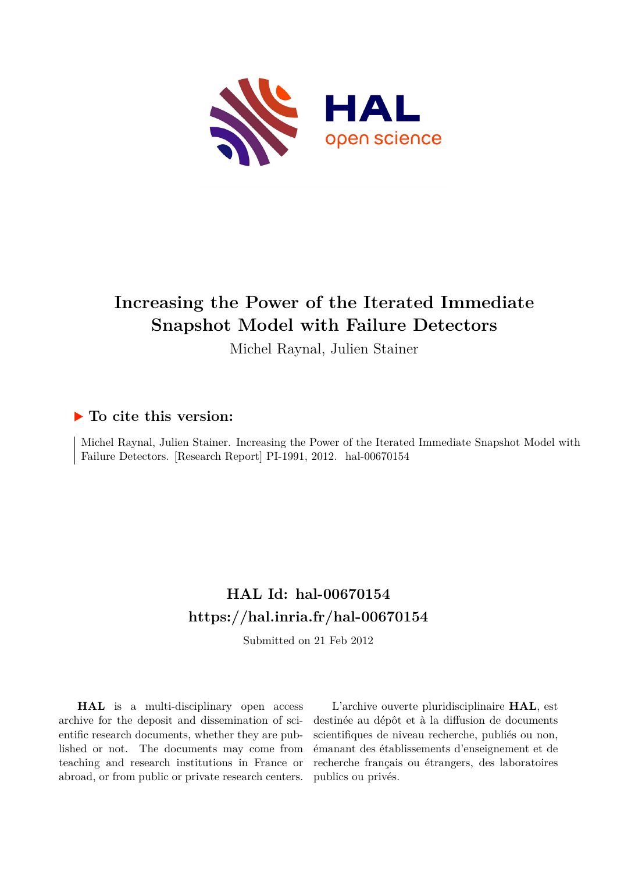

# **Increasing the Power of the Iterated Immediate Snapshot Model with Failure Detectors**

Michel Raynal, Julien Stainer

## **To cite this version:**

Michel Raynal, Julien Stainer. Increasing the Power of the Iterated Immediate Snapshot Model with Failure Detectors. [Research Report] PI-1991, 2012. hal-00670154

# **HAL Id: hal-00670154 <https://hal.inria.fr/hal-00670154>**

Submitted on 21 Feb 2012

**HAL** is a multi-disciplinary open access archive for the deposit and dissemination of scientific research documents, whether they are published or not. The documents may come from teaching and research institutions in France or abroad, or from public or private research centers.

L'archive ouverte pluridisciplinaire **HAL**, est destinée au dépôt et à la diffusion de documents scientifiques de niveau recherche, publiés ou non, émanant des établissements d'enseignement et de recherche français ou étrangers, des laboratoires publics ou privés.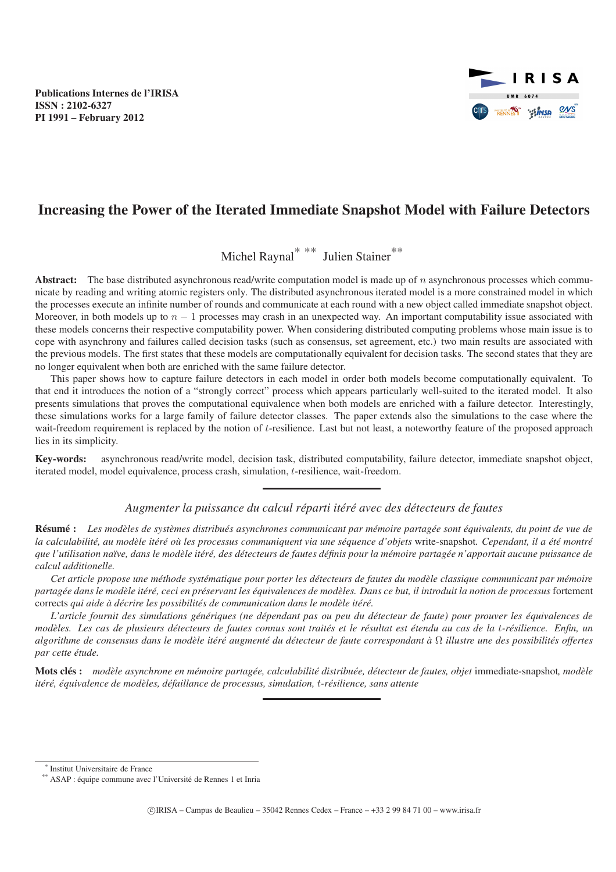Publications Internes de l'IRISA ISSN : 2102-6327 PI 1991 – February 2012



## Increasing the Power of the Iterated Immediate Snapshot Model with Failure Detectors

Michel Raynal\* \*\* Julien Stainer\*\*

Abstract: The base distributed asynchronous read/write computation model is made up of  $n$  asynchronous processes which communicate by reading and writing atomic registers only. The distributed asynchronous iterated model is a more constrained model in which the processes execute an infinite number of rounds and communicate at each round with a new object called immediate snapshot object. Moreover, in both models up to  $n - 1$  processes may crash in an unexpected way. An important computability issue associated with these models concerns their respective computability power. When considering distributed computing problems whose main issue is to cope with asynchrony and failures called decision tasks (such as consensus, set agreement, etc.) two main results are associated with the previous models. The first states that these models are computationally equivalent for decision tasks. The second states that they are no longer equivalent when both are enriched with the same failure detector.

This paper shows how to capture failure detectors in each model in order both models become computationally equivalent. To that end it introduces the notion of a "strongly correct" process which appears particularly well-suited to the iterated model. It also presents simulations that proves the computational equivalence when both models are enriched with a failure detector. Interestingly, these simulations works for a large family of failure detector classes. The paper extends also the simulations to the case where the wait-freedom requirement is replaced by the notion of t-resilience. Last but not least, a noteworthy feature of the proposed approach lies in its simplicity.

Key-words: asynchronous read/write model, decision task, distributed computability, failure detector, immediate snapshot object, iterated model, model equivalence, process crash, simulation, t-resilience, wait-freedom.

#### *Augmenter la puissance du calcul réparti itéré avec des détecteurs de fautes*

Résumé : *Les modèles de systèmes distribués asynchrones communicant par mémoire partagée sont équivalents, du point de vue de la calculabilité, au modèle itéré où les processus communiquent via une séquence d'objets* write-snapshot*. Cependant, il a été montré que l'utilisation naïve, dans le modèle itéré, des détecteurs de fautes définis pour la mémoire partagée n'apportait aucune puissance de calcul additionelle.*

*Cet article propose une méthode systématique pour porter les détecteurs de fautes du modèle classique communicant par mémoire partagée dans le modèle itéré, ceci en préservant les équivalences de modèles. Dans ce but, il introduit la notion de processus* fortement corrects *qui aide à décrire les possibilités de communication dans le modèle itéré.*

*L'article fournit des simulations génériques (ne dépendant pas ou peu du détecteur de faute) pour prouver les équivalences de modèles. Les cas de plusieurs détecteurs de fautes connus sont traités et le résultat est étendu au cas de la* t*-résilience. Enfin, un algorithme de consensus dans le modèle itéré augmenté du détecteur de faute correspondant à* Ω *illustre une des possibilités offertes par cette étude.*

Mots clés : *modèle asynchrone en mémoire partagée, calculabilité distribuée, détecteur de fautes, objet* immediate-snapshot*, modèle itéré, équivalence de modèles, défaillance de processus, simulation,* t*-résilience, sans attente*

<sup>\*</sup> Institut Universitaire de France

<sup>\*\*</sup> ASAP : équipe commune avec l'Université de Rennes 1 et Inria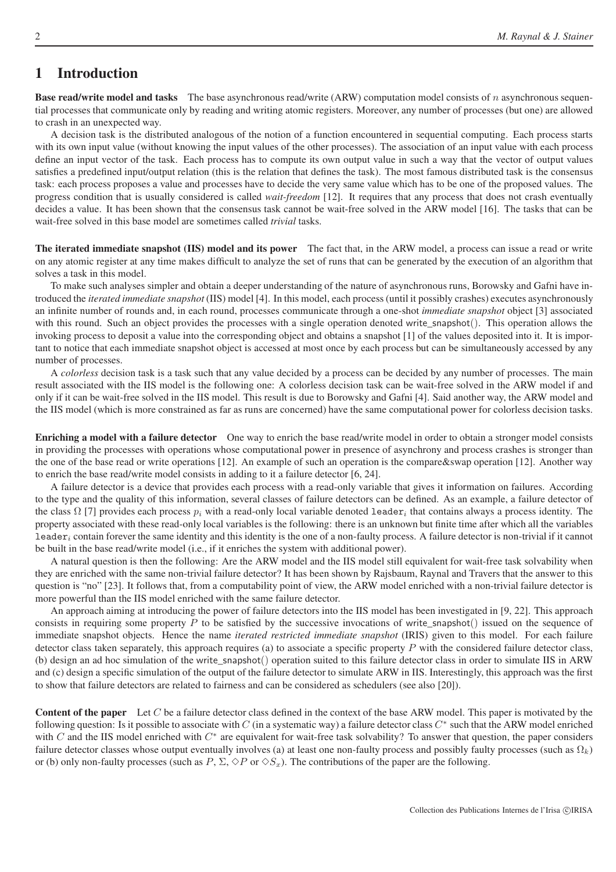## 1 Introduction

**Base read/write model and tasks** The base asynchronous read/write (ARW) computation model consists of n asynchronous sequential processes that communicate only by reading and writing atomic registers. Moreover, any number of processes (but one) are allowed to crash in an unexpected way.

A decision task is the distributed analogous of the notion of a function encountered in sequential computing. Each process starts with its own input value (without knowing the input values of the other processes). The association of an input value with each process define an input vector of the task. Each process has to compute its own output value in such a way that the vector of output values satisfies a predefined input/output relation (this is the relation that defines the task). The most famous distributed task is the consensus task: each process proposes a value and processes have to decide the very same value which has to be one of the proposed values. The progress condition that is usually considered is called *wait-freedom* [12]. It requires that any process that does not crash eventually decides a value. It has been shown that the consensus task cannot be wait-free solved in the ARW model [16]. The tasks that can be wait-free solved in this base model are sometimes called *trivial* tasks.

The iterated immediate snapshot (IIS) model and its power The fact that, in the ARW model, a process can issue a read or write on any atomic register at any time makes difficult to analyze the set of runs that can be generated by the execution of an algorithm that solves a task in this model.

To make such analyses simpler and obtain a deeper understanding of the nature of asynchronous runs, Borowsky and Gafni have introduced the *iterated immediate snapshot* (IIS) model [4]. In this model, each process (until it possibly crashes) executes asynchronously an infinite number of rounds and, in each round, processes communicate through a one-shot *immediate snapshot* object [3] associated with this round. Such an object provides the processes with a single operation denoted write\_snapshot(). This operation allows the invoking process to deposit a value into the corresponding object and obtains a snapshot [1] of the values deposited into it. It is important to notice that each immediate snapshot object is accessed at most once by each process but can be simultaneously accessed by any number of processes.

A *colorless* decision task is a task such that any value decided by a process can be decided by any number of processes. The main result associated with the IIS model is the following one: A colorless decision task can be wait-free solved in the ARW model if and only if it can be wait-free solved in the IIS model. This result is due to Borowsky and Gafni [4]. Said another way, the ARW model and the IIS model (which is more constrained as far as runs are concerned) have the same computational power for colorless decision tasks.

Enriching a model with a failure detector One way to enrich the base read/write model in order to obtain a stronger model consists in providing the processes with operations whose computational power in presence of asynchrony and process crashes is stronger than the one of the base read or write operations [12]. An example of such an operation is the compare&swap operation [12]. Another way to enrich the base read/write model consists in adding to it a failure detector [6, 24].

A failure detector is a device that provides each process with a read-only variable that gives it information on failures. According to the type and the quality of this information, several classes of failure detectors can be defined. As an example, a failure detector of the class  $\Omega$  [7] provides each process  $p_i$  with a read-only local variable denoted leader<sub>i</sub> that contains always a process identity. The property associated with these read-only local variables is the following: there is an unknown but finite time after which all the variables leader<sub>i</sub> contain forever the same identity and this identity is the one of a non-faulty process. A failure detector is non-trivial if it cannot be built in the base read/write model (i.e., if it enriches the system with additional power).

A natural question is then the following: Are the ARW model and the IIS model still equivalent for wait-free task solvability when they are enriched with the same non-trivial failure detector? It has been shown by Rajsbaum, Raynal and Travers that the answer to this question is "no" [23]. It follows that, from a computability point of view, the ARW model enriched with a non-trivial failure detector is more powerful than the IIS model enriched with the same failure detector.

An approach aiming at introducing the power of failure detectors into the IIS model has been investigated in [9, 22]. This approach consists in requiring some property  $P$  to be satisfied by the successive invocations of write\_snapshot() issued on the sequence of immediate snapshot objects. Hence the name *iterated restricted immediate snapshot* (IRIS) given to this model. For each failure detector class taken separately, this approach requires (a) to associate a specific property  $P$  with the considered failure detector class, (b) design an ad hoc simulation of the write\_snapshot() operation suited to this failure detector class in order to simulate IIS in ARW and (c) design a specific simulation of the output of the failure detector to simulate ARW in IIS. Interestingly, this approach was the first to show that failure detectors are related to fairness and can be considered as schedulers (see also [20]).

**Content of the paper** Let C be a failure detector class defined in the context of the base ARW model. This paper is motivated by the following question: Is it possible to associate with C (in a systematic way) a failure detector class  $C^*$  such that the ARW model enriched with  $C$  and the IIS model enriched with  $C^*$  are equivalent for wait-free task solvability? To answer that question, the paper considers failure detector classes whose output eventually involves (a) at least one non-faulty process and possibly faulty processes (such as  $\Omega_k$ ) or (b) only non-faulty processes (such as  $P, \Sigma, \Diamond P$  or  $\Diamond S_x$ ). The contributions of the paper are the following.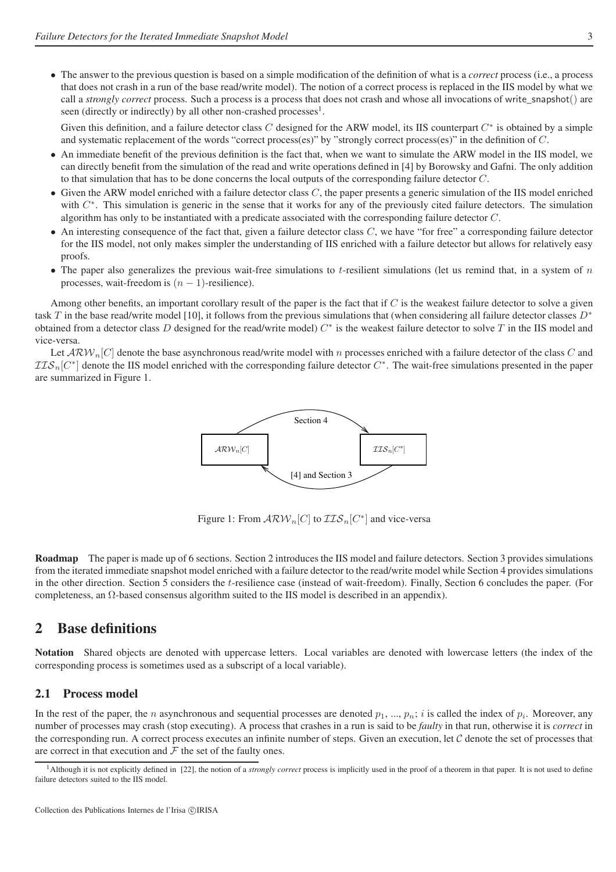• The answer to the previous question is based on a simple modification of the definition of what is a *correct* process (i.e., a process that does not crash in a run of the base read/write model). The notion of a correct process is replaced in the IIS model by what we call a *strongly correct* process. Such a process is a process that does not crash and whose all invocations of write snapshot() are seen (directly or indirectly) by all other non-crashed processes<sup>1</sup>.

Given this definition, and a failure detector class  $C$  designed for the ARW model, its IIS counterpart  $C^*$  is obtained by a simple and systematic replacement of the words "correct process(es)" by "strongly correct process(es)" in the definition of C.

- An immediate benefit of the previous definition is the fact that, when we want to simulate the ARW model in the IIS model, we can directly benefit from the simulation of the read and write operations defined in [4] by Borowsky and Gafni. The only addition to that simulation that has to be done concerns the local outputs of the corresponding failure detector  $C$ .
- Given the ARW model enriched with a failure detector class  $C$ , the paper presents a generic simulation of the IIS model enriched with  $C^*$ . This simulation is generic in the sense that it works for any of the previously cited failure detectors. The simulation algorithm has only to be instantiated with a predicate associated with the corresponding failure detector C.
- An interesting consequence of the fact that, given a failure detector class C, we have "for free" a corresponding failure detector for the IIS model, not only makes simpler the understanding of IIS enriched with a failure detector but allows for relatively easy proofs.
- The paper also generalizes the previous wait-free simulations to t-resilient simulations (let us remind that, in a system of  $n$ ) processes, wait-freedom is  $(n - 1)$ -resilience).

Among other benefits, an important corollary result of the paper is the fact that if  $C$  is the weakest failure detector to solve a given task T in the base read/write model [10], it follows from the previous simulations that (when considering all failure detector classes  $D^*$ obtained from a detector class D designed for the read/write model)  $C^*$  is the weakest failure detector to solve T in the IIS model and vice-versa.

Let  $\mathcal{ARM}_n[C]$  denote the base asynchronous read/write model with n processes enriched with a failure detector of the class C and  $\mathcal{IIS}_n[C^*]$  denote the IIS model enriched with the corresponding failure detector  $C^*$ . The wait-free simulations presented in the paper are summarized in Figure 1.



Figure 1: From  $\mathcal{ARM}_n[C]$  to  $\mathcal{IIS}_n[C^*]$  and vice-versa

Roadmap The paper is made up of 6 sections. Section 2 introduces the IIS model and failure detectors. Section 3 provides simulations from the iterated immediate snapshot model enriched with a failure detector to the read/write model while Section 4 provides simulations in the other direction. Section 5 considers the t-resilience case (instead of wait-freedom). Finally, Section 6 concludes the paper. (For completeness, an Ω-based consensus algorithm suited to the IIS model is described in an appendix).

## 2 Base definitions

Notation Shared objects are denoted with uppercase letters. Local variables are denoted with lowercase letters (the index of the corresponding process is sometimes used as a subscript of a local variable).

#### 2.1 Process model

In the rest of the paper, the *n* asynchronous and sequential processes are denoted  $p_1, ..., p_n$ ; i is called the index of  $p_i$ . Moreover, any number of processes may crash (stop executing). A process that crashes in a run is said to be *faulty* in that run, otherwise it is *correct* in the corresponding run. A correct process executes an infinite number of steps. Given an execution, let  $C$  denote the set of processes that are correct in that execution and  $\mathcal F$  the set of the faulty ones.

<sup>&</sup>lt;sup>1</sup>Although it is not explicitly defined in [22], the notion of a *strongly correct* process is implicitly used in the proof of a theorem in that paper. It is not used to define failure detectors suited to the IIS model.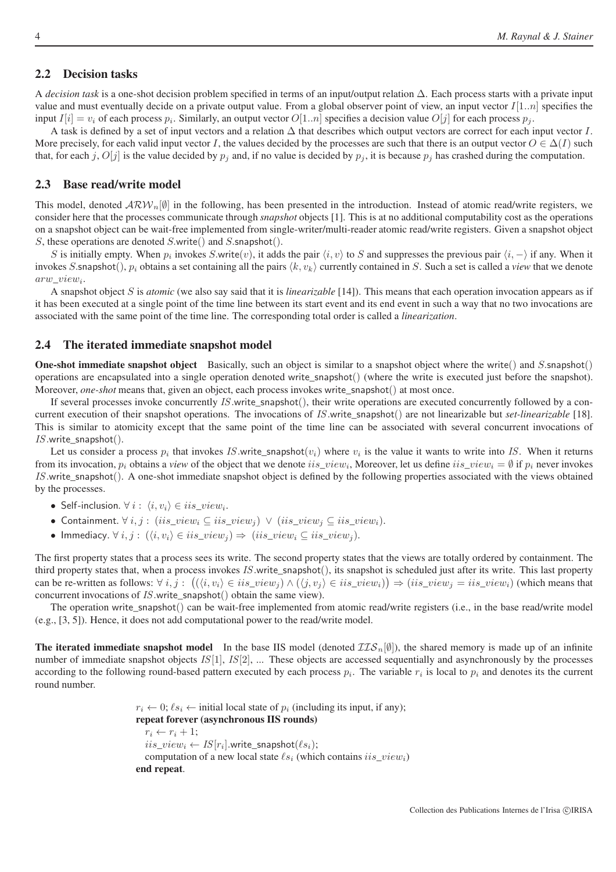#### 2.2 Decision tasks

A *decision task* is a one-shot decision problem specified in terms of an input/output relation ∆. Each process starts with a private input value and must eventually decide on a private output value. From a global observer point of view, an input vector  $I[1..n]$  specifies the input  $I[i] = v_i$  of each process  $p_i$ . Similarly, an output vector  $O[1..n]$  specifies a decision value  $O[j]$  for each process  $p_j$ .

A task is defined by a set of input vectors and a relation ∆ that describes which output vectors are correct for each input vector I. More precisely, for each valid input vector I, the values decided by the processes are such that there is an output vector  $O \in \Delta(I)$  such that, for each j,  $O[j]$  is the value decided by  $p_j$  and, if no value is decided by  $p_j$ , it is because  $p_j$  has crashed during the computation.

#### 2.3 Base read/write model

This model, denoted  $\mathcal{ARW}_n[\emptyset]$  in the following, has been presented in the introduction. Instead of atomic read/write registers, we consider here that the processes communicate through *snapshot* objects [1]. This is at no additional computability cost as the operations on a snapshot object can be wait-free implemented from single-writer/multi-reader atomic read/write registers. Given a snapshot object S, these operations are denoted S.write() and S.snapshot().

S is initially empty. When  $p_i$  invokes S.write $(v)$ , it adds the pair  $\langle i, v \rangle$  to S and suppresses the previous pair  $\langle i, - \rangle$  if any. When it invokes S.snapshot(),  $p_i$  obtains a set containing all the pairs  $\langle k, v_k \rangle$  currently contained in S. Such a set is called a *view* that we denote arw\_view<sup>i</sup> .

A snapshot object S is *atomic* (we also say said that it is *linearizable* [14]). This means that each operation invocation appears as if it has been executed at a single point of the time line between its start event and its end event in such a way that no two invocations are associated with the same point of the time line. The corresponding total order is called a *linearization*.

#### 2.4 The iterated immediate snapshot model

**One-shot immediate snapshot object** Basically, such an object is similar to a snapshot object where the write() and S.snapshot() operations are encapsulated into a single operation denoted write\_snapshot() (where the write is executed just before the snapshot). Moreover, *one-shot* means that, given an object, each process invokes write snapshot() at most once.

If several processes invoke concurrently  $IS.\text{write\_snapshot}()$ , their write operations are executed concurrently followed by a concurrent execution of their snapshot operations. The invocations of IS write snapshot() are not linearizable but *set-linearizable* [18]. This is similar to atomicity except that the same point of the time line can be associated with several concurrent invocations of IS write snapshot().

Let us consider a process  $p_i$  that invokes IS write\_snapshot $(v_i)$  where  $v_i$  is the value it wants to write into IS. When it returns from its invocation,  $p_i$  obtains a *view* of the object that we denote  $iis\_view_i$ , Moreover, let us define  $iis\_view_i = \emptyset$  if  $p_i$  never invokes IS.write\_snapshot(). A one-shot immediate snapshot object is defined by the following properties associated with the views obtained by the processes.

- Self-inclusion.  $\forall i : \langle i, v_i \rangle \in iis\_view_i$ .
- Containment.  $\forall i, j : (iis\_view_i \subseteq iis\_view_j) \lor (iis\_view_i \subseteq iis\_view_i)$ .
- Immediacy.  $\forall i, j : (\langle i, v_i \rangle \in iis\_view_j) \Rightarrow (iis\_view_i \subseteq iis\_view_j)$ .

The first property states that a process sees its write. The second property states that the views are totally ordered by containment. The third property states that, when a process invokes  $IS$  write\_snapshot $()$ , its snapshot is scheduled just after its write. This last property can be re-written as follows:  $\forall i, j : ((\langle i, v_i \rangle \in iis\_view_j) \land (\langle j, v_j \rangle \in iis\_view_i)) \Rightarrow (iis\_view_j = iis\_view_i)$  (which means that concurrent invocations of IS.write\_snapshot() obtain the same view).

The operation write\_snapshot() can be wait-free implemented from atomic read/write registers (i.e., in the base read/write model (e.g., [3, 5]). Hence, it does not add computational power to the read/write model.

**The iterated immediate snapshot model** In the base IIS model (denoted  $\mathcal{IIS}_n[\emptyset]$ ), the shared memory is made up of an infinite number of immediate snapshot objects  $IS[1]$ ,  $IS[2]$ , ... These objects are accessed sequentially and asynchronously by the processes according to the following round-based pattern executed by each process  $p_i$ . The variable  $r_i$  is local to  $p_i$  and denotes its the current round number.

> $r_i \leftarrow 0$ ;  $\ell s_i \leftarrow$  initial local state of  $p_i$  (including its input, if any); repeat forever (asynchronous IIS rounds)  $r_i \leftarrow r_i + 1$ ;  $iis\_view_i \leftarrow IS[r_i].$ write\_snapshot $(\ell s_i);$ computation of a new local state  $\ell s_i$  (which contains  $iis\_view_i$ ) end repeat.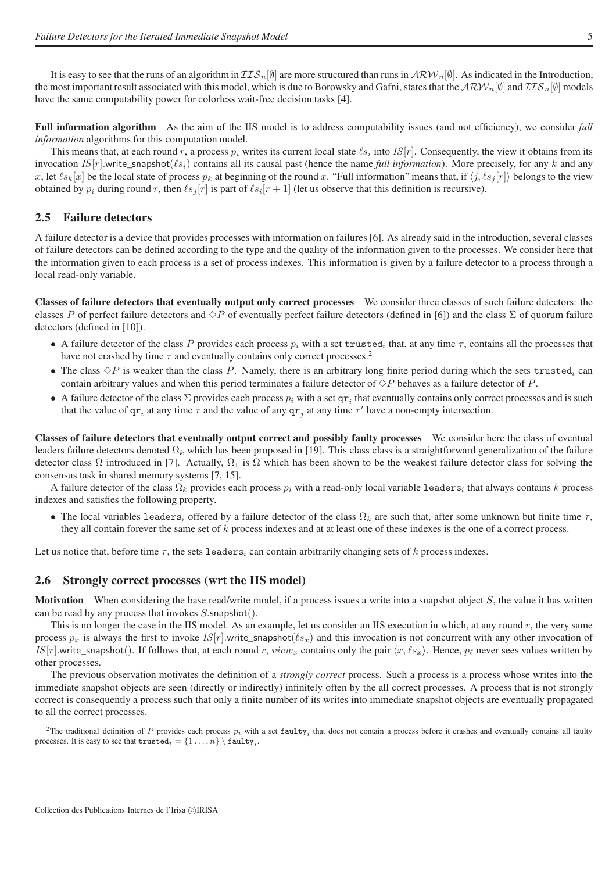It is easy to see that the runs of an algorithm in  $IIS_n[Ø]$  are more structured than runs in  $\mathcal{ARW}_n[Ø]$ . As indicated in the Introduction, the most important result associated with this model, which is due to Borowsky and Gafni, states that the  $\mathcal{ARM}_n[\emptyset]$  and  $\mathcal{IIS}_n[\emptyset]$  models have the same computability power for colorless wait-free decision tasks [4].

Full information algorithm As the aim of the IIS model is to address computability issues (and not efficiency), we consider *full information* algorithms for this computation model.

This means that, at each round r, a process  $p_i$  writes its current local state  $\ell s_i$  into  $IS[r]$ . Consequently, the view it obtains from its invocation  $IS[r]$ .write\_snapshot( $\ell s_i$ ) contains all its causal past (hence the name *full information*). More precisely, for any k and any x, let  $\ell s_k[x]$  be the local state of process  $p_k$  at beginning of the round x. "Full information" means that, if  $\langle i, \ell s_i[r] \rangle$  belongs to the view obtained by  $p_i$  during round r, then  $\ell s_i[r]$  is part of  $\ell s_i[r+1]$  (let us observe that this definition is recursive).

#### 2.5 Failure detectors

A failure detector is a device that provides processes with information on failures [6]. As already said in the introduction, several classes of failure detectors can be defined according to the type and the quality of the information given to the processes. We consider here that the information given to each process is a set of process indexes. This information is given by a failure detector to a process through a local read-only variable.

Classes of failure detectors that eventually output only correct processes We consider three classes of such failure detectors: the classes P of perfect failure detectors and  $\Diamond P$  of eventually perfect failure detectors (defined in [6]) and the class  $\Sigma$  of quorum failure detectors (defined in [10]).

- A failure detector of the class P provides each process  $p_i$  with a set trusted<sub>i</sub> that, at any time  $\tau$ , contains all the processes that have not crashed by time  $\tau$  and eventually contains only correct processes.<sup>2</sup>
- The class  $\Diamond P$  is weaker than the class P. Namely, there is an arbitrary long finite period during which the sets trusted<sub>i</sub> can contain arbitrary values and when this period terminates a failure detector of  $\Diamond P$  behaves as a failure detector of P.
- A failure detector of the class  $\Sigma$  provides each process  $p_i$  with a set qr<sub>i</sub> that eventually contains only correct processes and is such that the value of  $qr_i$  at any time  $\tau$  and the value of any  $qr_j$  at any time  $\tau'$  have a non-empty intersection.

Classes of failure detectors that eventually output correct and possibly faulty processes We consider here the class of eventual leaders failure detectors denoted  $\Omega_k$  which has been proposed in [19]. This class class is a straightforward generalization of the failure detector class  $\Omega$  introduced in [7]. Actually,  $\Omega_1$  is  $\Omega$  which has been shown to be the weakest failure detector class for solving the consensus task in shared memory systems [7, 15].

A failure detector of the class  $\Omega_k$  provides each process  $p_i$  with a read-only local variable leaders<sub>i</sub> that always contains k process indexes and satisfies the following property.

• The local variables leaders<sub>i</sub> offered by a failure detector of the class  $\Omega_k$  are such that, after some unknown but finite time  $\tau$ , they all contain forever the same set of  $k$  process indexes and at at least one of these indexes is the one of a correct process.

Let us notice that, before time  $\tau$ , the sets leaders<sub>i</sub> can contain arbitrarily changing sets of k process indexes.

#### 2.6 Strongly correct processes (wrt the IIS model)

**Motivation** When considering the base read/write model, if a process issues a write into a snapshot object  $S$ , the value it has written can be read by any process that invokes  $S$  snapshot $()$ .

This is no longer the case in the IIS model. As an example, let us consider an IIS execution in which, at any round  $r$ , the very same process  $p_x$  is always the first to invoke  $IS[r]$ .write\_snapshot( $\ell s_x$ ) and this invocation is not concurrent with any other invocation of  $IS[r]$ .write\_snapshot(). If follows that, at each round r,  $view_x$  contains only the pair  $\langle x, \ell s_x \rangle$ . Hence,  $p_\ell$  never sees values written by other processes.

The previous observation motivates the definition of a *strongly correct* process. Such a process is a process whose writes into the immediate snapshot objects are seen (directly or indirectly) infinitely often by the all correct processes. A process that is not strongly correct is consequently a process such that only a finite number of its writes into immediate snapshot objects are eventually propagated to all the correct processes.

<sup>&</sup>lt;sup>2</sup>The traditional definition of P provides each process  $p_i$  with a set  $\text{faulty}_i$  that does not contain a process before it crashes and eventually contains all faulty processes. It is easy to see that  $\texttt{trusted}_i = \{1 \ldots, n\} \setminus \texttt{faulty}_i$ .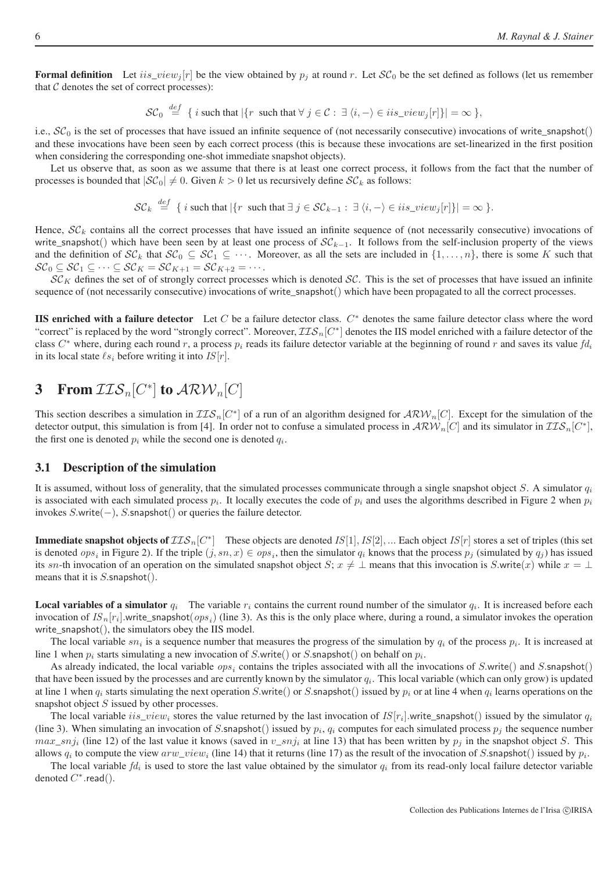**Formal definition** Let *iis view*  $\eta$ <sup>[r]</sup> be the view obtained by  $p_i$  at round r. Let  $SC_0$  be the set defined as follows (let us remember that  $C$  denotes the set of correct processes):

$$
\mathcal{SC}_0 \stackrel{def}{=} \{ i \text{ such that } |\{r \text{ such that } \forall j \in \mathcal{C} : \exists \langle i, - \rangle \in i \in \mathcal{C} \text{ such that } \forall j \in \mathcal{C} : \exists \langle i, - \rangle \in i \in \mathcal{C} \}
$$

i.e.,  $SC<sub>0</sub>$  is the set of processes that have issued an infinite sequence of (not necessarily consecutive) invocations of write snapshot() and these invocations have been seen by each correct process (this is because these invocations are set-linearized in the first position when considering the corresponding one-shot immediate snapshot objects).

Let us observe that, as soon as we assume that there is at least one correct process, it follows from the fact that the number of processes is bounded that  $|\mathcal{SC}_0| \neq 0$ . Given  $k > 0$  let us recursively define  $\mathcal{SC}_k$  as follows:

$$
\mathcal{SC}_k \stackrel{def}{=} \{ i \text{ such that } |\{r \text{ such that } \exists j \in \mathcal{SC}_{k-1} : \exists \langle i, - \rangle \in i \in \mathcal{S} \cup i \in w_j[r] \}| = \infty \}.
$$

Hence,  $SC_k$  contains all the correct processes that have issued an infinite sequence of (not necessarily consecutive) invocations of write\_snapshot() which have been seen by at least one process of  $SC_{k-1}$ . It follows from the self-inclusion property of the views and the definition of  $SC_k$  that  $SC_0 \subseteq SC_1 \subseteq \cdots$ . Moreover, as all the sets are included in  $\{1, \ldots, n\}$ , there is some K such that  $\mathcal{SC}_0 \subseteq \mathcal{SC}_1 \subseteq \cdots \subseteq \mathcal{SC}_K = \mathcal{SC}_{K+1} = \mathcal{SC}_{K+2} = \cdots$ .

 $SC_K$  defines the set of of strongly correct processes which is denoted  $SC$ . This is the set of processes that have issued an infinite sequence of (not necessarily consecutive) invocations of write\_snapshot() which have been propagated to all the correct processes.

IIS enriched with a failure detector Let C be a failure detector class.  $C^*$  denotes the same failure detector class where the word "correct" is replaced by the word "strongly correct". Moreover,  $\mathcal{IIS}_n[C^*]$  denotes the IIS model enriched with a failure detector of the class  $C^*$  where, during each round r, a process  $p_i$  reads its failure detector variable at the beginning of round r and saves its value  $fd_i$ in its local state  $\ell s_i$  before writing it into  $IS[r]$ .

## **3** From  $\mathcal{IIS}_n[C^*]$  to  $\mathcal{ARW}_n[C]$

 $\overline{a}$ .

This section describes a simulation in  $IIS_n[C^*]$  of a run of an algorithm designed for  $\mathcal{ARM}_n[C]$ . Except for the simulation of the detector output, this simulation is from [4]. In order not to confuse a simulated process in  $\mathcal{ARM}_n[C]$  and its simulator in  $\mathcal{IIS}_n[C^*]$ , the first one is denoted  $p_i$  while the second one is denoted  $q_i$ .

#### 3.1 Description of the simulation

It is assumed, without loss of generality, that the simulated processes communicate through a single snapshot object  $S$ . A simulator  $q_i$ is associated with each simulated process  $p_i$ . It locally executes the code of  $p_i$  and uses the algorithms described in Figure 2 when  $p_i$ invokes S.write(−), S.snapshot() or queries the failure detector.

**Immediate snapshot objects of**  $\mathcal{IIS}_n[C^*]$  These objects are denoted  $IS[1], IS[2], \dots$  Each object  $IS[r]$  stores a set of triples (this set is denoted  $ops_i$  in Figure 2). If the triple  $(j, sn, x) \in ops_i$ , then the simulator  $q_i$  knows that the process  $p_j$  (simulated by  $q_j$ ) has issued its sn-th invocation of an operation on the simulated snapshot object S;  $x \neq \perp$  means that this invocation is S.write(x) while  $x = \perp$ means that it is  $S$  snapshot().

**Local variables of a simulator**  $q_i$  The variable  $r_i$  contains the current round number of the simulator  $q_i$ . It is increased before each invocation of  $IS_n[r_i]$  write\_snapshot( $ops_i$ ) (line 3). As this is the only place where, during a round, a simulator invokes the operation write\_snapshot $($ ), the simulators obey the IIS model.

The local variable  $sn_i$  is a sequence number that measures the progress of the simulation by  $q_i$  of the process  $p_i$ . It is increased at line 1 when  $p_i$  starts simulating a new invocation of S write() or S snapshot() on behalf on  $p_i$ .

As already indicated, the local variable  $ops_i$  contains the triples associated with all the invocations of S.write() and S.snapshot() that have been issued by the processes and are currently known by the simulator  $q_i$ . This local variable (which can only grow) is updated at line 1 when  $q_i$  starts simulating the next operation S write() or S snapshot() issued by  $p_i$  or at line 4 when  $q_i$  learns operations on the snapshot object  $S$  issued by other processes.

The local variable  $iis\_view_i$  stores the value returned by the last invocation of  $IS[r_i]$  write\_snapshot() issued by the simulator  $q_i$ (line 3). When simulating an invocation of S.snapshot() issued by  $p_i$ ,  $q_i$  computes for each simulated process  $p_j$  the sequence number  $max\_snj_i$  (line 12) of the last value it knows (saved in  $v\_snj_i$  at line 13) that has been written by  $p_i$  in the snapshot object S. This allows  $q_i$  to compute the view  $arw\_view_i$  (line 14) that it returns (line 17) as the result of the invocation of S.snapshot() issued by  $p_i$ .

The local variable  $fd_i$  is used to store the last value obtained by the simulator  $q_i$  from its read-only local failure detector variable denoted  $C^*$ .read().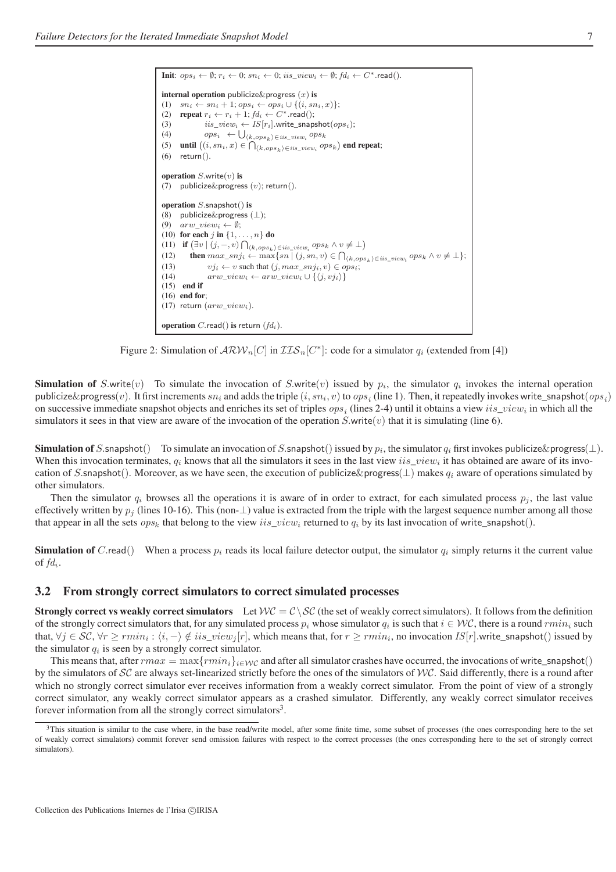**Init**:  $ops_i \leftarrow \emptyset$ ;  $r_i \leftarrow 0$ ;  $sn_i \leftarrow 0$ ;  $iis\_view_i \leftarrow \emptyset$ ;  $fd_i \leftarrow C^*$ .read(). internal operation publicize&progress  $(x)$  is (1)  $sn_i \leftarrow sn_i + 1; ops_i \leftarrow ops_i \cup \{(i, sn_i, x)\};$ (2) repeat  $r_i \leftarrow r_i + 1$ ;  $fd_i \leftarrow C^*$ .read(); (3)  $\text{ii s\_view}_i \leftarrow IS[r_i].\text{write\_snapshot}(ops_i);$ <br>(4)  $\text{ops}_i \leftarrow \bigcup_{l \in \text{sep}_i} \bigcup_{l \in \text{temp}_i} \text{ops}_l.$ (4)  $ops_i \leftarrow \bigcup_{\langle k,ops_k \rangle \in iis\_view_i} ops_k$ (5) until  $((i, sn_i, x) \in \bigcap_{\langle k, ops_k \rangle \in iis\_view_i} ops_k)$  end repeat;  $(6)$  return $()$ . operation  $S$ .write $(v)$  is (7) publicize&progress  $(v)$ ; return(). operation  $S$ . snapshot $()$  is (8) publicize&progress  $($  $\bot)$ ; (9)  $arrow\; view_i \leftarrow \emptyset$ ; (10) for each j in  $\{1, \ldots, n\}$  do (11) if  $\left( \exists v \mid (j, -, v) \bigcap_{\langle k, ops_k \rangle \in iis\_view_i} ops_k \land v \neq \bot \right)$ (12) then  $max\_snj_i \leftarrow \max\{sn \mid (j,sn, v) \in \bigcap_{\langle k,ops_k \rangle \in iis\_view_i} ops_k \land v \neq \bot\};$ (13)  $vj_i \leftarrow v$  such that  $(j, max\_snj_i, v) \in ops_i;$ <br>(14)  $arw, view_i \leftarrow arw, view_i \cup \{(i, vis_i)\}$  $arw\_view_i \leftarrow arw\_view_i \cup \{\langle j, vj_i \rangle\}$ (15) end if (16) end for; (17) return  $(arw\_view_i)$ . operation  $C$ .read() is return  $(fd_i)$ .

Figure 2: Simulation of  $\mathcal{ARM}_{n}[C]$  in  $\mathcal{IIS}_{n}[C^{*}]$ : code for a simulator  $q_i$  (extended from [4])

**Simulation of** S.write(v) To simulate the invocation of S.write(v) issued by  $p_i$ , the simulator  $q_i$  invokes the internal operation publicize&progress $(v)$ . It first increments  $sn_i$  and adds the triple  $(i, sn_i, v)$  to  $ops_i$  (line 1). Then, it repeatedly invokes write\_snapshot $(ops_i)$ on successive immediate snapshot objects and enriches its set of triples  $ops_i$  (lines 2-4) until it obtains a view  $iis\_view_i$  in which all the simulators it sees in that view are aware of the invocation of the operation S.write(v) that it is simulating (line 6).

**Simulation of** S.snapshot() To simulate an invocation of S.snapshot() issued by  $p_i$ , the simulator  $q_i$  first invokes publicize&progress( $\perp$ ). When this invocation terminates,  $q_i$  knows that all the simulators it sees in the last view  $iis\_view_i$  it has obtained are aware of its invocation of S.snapshot(). Moreover, as we have seen, the execution of publicize&progress( $\perp$ ) makes  $q_i$  aware of operations simulated by other simulators.

Then the simulator  $q_i$  browses all the operations it is aware of in order to extract, for each simulated process  $p_i$ , the last value effectively written by  $p_i$  (lines 10-16). This (non-⊥) value is extracted from the triple with the largest sequence number among all those that appear in all the sets  $ops_k$  that belong to the view is view; returned to  $q_i$  by its last invocation of write snapshot().

**Simulation of** C.read() When a process  $p_i$  reads its local failure detector output, the simulator  $q_i$  simply returns it the current value of  $fd_i$ .

#### 3.2 From strongly correct simulators to correct simulated processes

**Strongly correct vs weakly correct simulators** Let  $\mathcal{WC} = \mathcal{C} \setminus \mathcal{SC}$  (the set of weakly correct simulators). It follows from the definition of the strongly correct simulators that, for any simulated process  $p_i$  whose simulator  $q_i$  is such that  $i \in \mathcal{WC}$ , there is a round  $rmin_i$  such that,  $\forall j \in \mathcal{SC}, \forall r \geq rmin_i : \langle i, - \rangle \notin iis\_view_j[r]$ , which means that, for  $r \geq rmin_i$ , no invocation  $IS[r]$ .write\_snapshot() issued by the simulator  $q_i$  is seen by a strongly correct simulator.

This means that, after  $rmax = \max\{rmin_i\}_{i \in \mathcal{WC}}$  and after all simulator crashes have occurred, the invocations of write\_snapshot() by the simulators of  $SC$  are always set-linearized strictly before the ones of the simulators of  $WC$ . Said differently, there is a round after which no strongly correct simulator ever receives information from a weakly correct simulator. From the point of view of a strongly correct simulator, any weakly correct simulator appears as a crashed simulator. Differently, any weakly correct simulator receives forever information from all the strongly correct simulators<sup>3</sup>.



<sup>&</sup>lt;sup>3</sup>This situation is similar to the case where, in the base read/write model, after some finite time, some subset of processes (the ones corresponding here to the set of weakly correct simulators) commit forever send omission failures with respect to the correct processes (the ones corresponding here to the set of strongly correct simulators).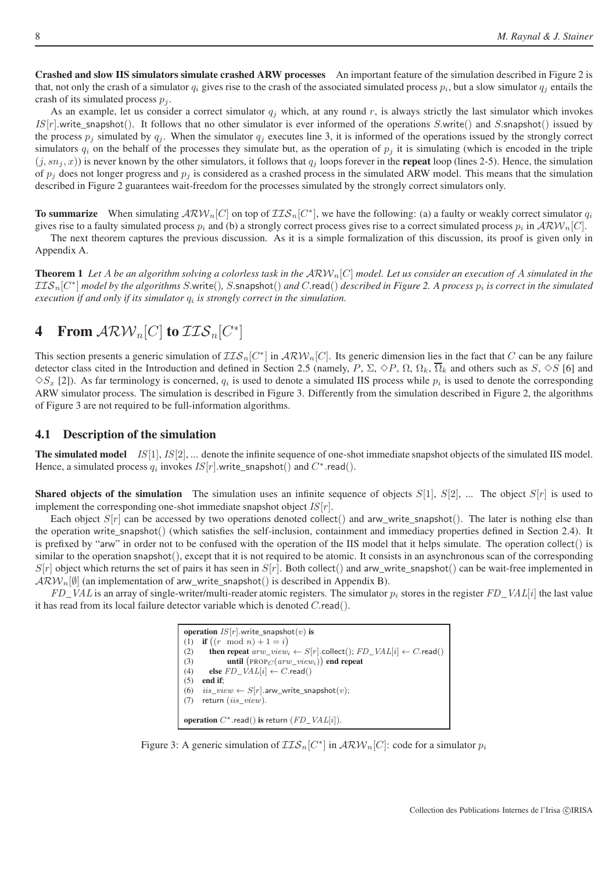Crashed and slow IIS simulators simulate crashed ARW processes An important feature of the simulation described in Figure 2 is that, not only the crash of a simulator  $q_i$  gives rise to the crash of the associated simulated process  $p_i$ , but a slow simulator  $q_j$  entails the crash of its simulated process  $p_i$ .

As an example, let us consider a correct simulator  $q_i$  which, at any round r, is always strictly the last simulator which invokes  $IS[r]$ .write\_snapshot(). It follows that no other simulator is ever informed of the operations S.write() and S.snapshot() issued by the process  $p_j$  simulated by  $q_j$ . When the simulator  $q_j$  executes line 3, it is informed of the operations issued by the strongly correct simulators  $q_i$  on the behalf of the processes they simulate but, as the operation of  $p_i$  it is simulating (which is encoded in the triple  $(j, sn<sub>j</sub>, x)$ ) is never known by the other simulators, it follows that  $q<sub>j</sub>$  loops forever in the **repeat** loop (lines 2-5). Hence, the simulation of  $p_i$  does not longer progress and  $p_i$  is considered as a crashed process in the simulated ARW model. This means that the simulation described in Figure 2 guarantees wait-freedom for the processes simulated by the strongly correct simulators only.

**To summarize** When simulating  $\mathcal{ARM}_n[C]$  on top of  $\mathcal{IIS}_n[C^*]$ , we have the following: (a) a faulty or weakly correct simulator  $q_i$ gives rise to a faulty simulated process  $p_i$  and (b) a strongly correct process gives rise to a correct simulated process  $p_i$  in  $\mathcal{ARM}_n[C]$ .

The next theorem captures the previous discussion. As it is a simple formalization of this discussion, its proof is given only in Appendix A.

**Theorem 1** Let A be an algorithm solving a colorless task in the  $ARW_n[C]$  model. Let us consider an execution of A simulated in the  $\mathcal{IIS}_n[C^*]$  model by the algorithms  $S.$ write $(),$   $S.$ snapshot $()$  and  $C.$ read $()$  described in Figure 2. A process  $p_i$  is correct in the simulated *execution if and only if its simulator* q<sup>i</sup> *is strongly correct in the simulation.*

# 4 From  $\mathcal{ARM}_n[C]$  to  $\mathcal{IIS}_n[C^*]$

This section presents a generic simulation of  $IIS_n[C^*]$  in  $\mathcal{ARW}_n[C]$ . Its generic dimension lies in the fact that C can be any failure detector class cited in the Introduction and defined in Section 2.5 (namely,  $P, \Sigma, \Diamond P, \Omega, \Omega_k, \overline{\Omega}_k$  and others such as  $S, \Diamond S$  [6] and  $\Diamond S_x$  [2]). As far terminology is concerned,  $q_i$  is used to denote a simulated IIS process while  $p_i$  is used to denote the corresponding ARW simulator process. The simulation is described in Figure 3. Differently from the simulation described in Figure 2, the algorithms of Figure 3 are not required to be full-information algorithms.

#### 4.1 Description of the simulation

**The simulated model**  $IS[1]$ ,  $IS[2]$ , ... denote the infinite sequence of one-shot immediate snapshot objects of the simulated IIS model. Hence, a simulated process  $q_i$  invokes  $IS[r]$ .write\_snapshot() and  $C^*$ .read().

**Shared objects of the simulation** The simulation uses an infinite sequence of objects  $S[1]$ ,  $S[2]$ , ... The object  $S[r]$  is used to implement the corresponding one-shot immediate snapshot object  $IS[r]$ .

Each object  $S[r]$  can be accessed by two operations denoted collect() and arw\_write\_snapshot(). The later is nothing else than the operation write snapshot() (which satisfies the self-inclusion, containment and immediacy properties defined in Section 2.4). It is prefixed by "arw" in order not to be confused with the operation of the IIS model that it helps simulate. The operation collect() is similar to the operation snapshot(), except that it is not required to be atomic. It consists in an asynchronous scan of the corresponding  $S[r]$  object which returns the set of pairs it has seen in  $S[r]$ . Both collect() and arw\_write\_snapshot() can be wait-free implemented in  $\mathcal{ARM}_{n}[\emptyset]$  (an implementation of arw\_write\_snapshot() is described in Appendix B).

 $FD\_VAL$  is an array of single-writer/multi-reader atomic registers. The simulator  $p_i$  stores in the register  $FD\_VAL[i]$  the last value it has read from its local failure detector variable which is denoted C.read().

> operation  $IS[r]$ .write\_snapshot $(v)$  is  $(1)$  $(r \mod n) + 1 = i)$ (2) then repeat  $arw\_view_i \leftarrow S[r]$ .collect();  $FD\_VAL[i] \leftarrow C$ .read() (3) **until**  $(\text{PROP}_C(\text{arw\_view}_i))$  **end repeat** (4) else  $FD\_VAL[i] \leftarrow C.\text{read}()$  $(5)$  end if: (6)  $iis\_view \leftarrow S[r]$ .arw\_write\_snapshot $(v)$ ; (7) return  $(iis\;view)$ . operation  $C^*$ .read $()$  is return  $(FD\_VAL[i]).$

Figure 3: A generic simulation of  $\mathcal{IIS}_n[C^*]$  in  $\mathcal{ARW}_n[C]$ : code for a simulator  $p_i$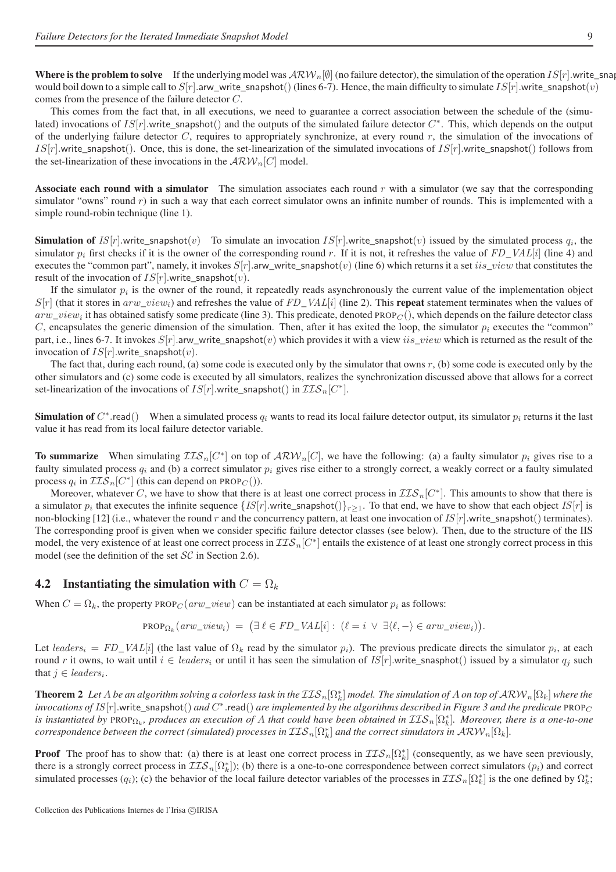**Where is the problem to solve** If the underlying model was  $\mathcal{ARW}_n[\emptyset]$  (no failure detector), the simulation of the operation  $IS[r]$ .write\_snapshot would boil down to a simple call to  $S[r]$ .arw\_write\_snapshot() (lines 6-7). Hence, the main difficulty to simulate IS[r].write\_snapshot(v) comes from the presence of the failure detector C.

This comes from the fact that, in all executions, we need to guarantee a correct association between the schedule of the (simulated) invocations of  $IS[r]$  write\_snapshot() and the outputs of the simulated failure detector  $C^*$ . This, which depends on the output of the underlying failure detector  $C$ , requires to appropriately synchronize, at every round  $r$ , the simulation of the invocations of  $IS[r]$ .write\_snapshot(). Once, this is done, the set-linearization of the simulated invocations of  $IS[r]$ .write\_snapshot() follows from the set-linearization of these invocations in the  $\mathcal{ARM}_{n}[C]$  model.

**Associate each round with a simulator** The simulation associates each round r with a simulator (we say that the corresponding simulator "owns" round  $r$ ) in such a way that each correct simulator owns an infinite number of rounds. This is implemented with a simple round-robin technique (line 1).

**Simulation of**  $IS[r]$  write\_snapshot(v) To simulate an invocation  $IS[r]$  write\_snapshot(v) issued by the simulated process  $q_i$ , the simulator  $p_i$  first checks if it is the owner of the corresponding round r. If it is not, it refreshes the value of  $FD_VAL[i]$  (line 4) and executes the "common part", namely, it invokes  $S[r]$ .arw\_write\_snapshot(v) (line 6) which returns it a set iis\_view that constitutes the result of the invocation of  $IS[r]$ .write\_snapshot $(v)$ .

If the simulator  $p_i$  is the owner of the round, it repeatedly reads asynchronously the current value of the implementation object  $S[r]$  (that it stores in arw\_view<sub>i</sub>) and refreshes the value of  $FD_VAL[i]$  (line 2). This repeat statement terminates when the values of  $arw\_view_i$  it has obtained satisfy some predicate (line 3). This predicate, denoted PROP $_C()$ , which depends on the failure detector class C, encapsulates the generic dimension of the simulation. Then, after it has exited the loop, the simulator  $p_i$  executes the "common" part, i.e., lines 6-7. It invokes  $S[r]$  arw\_write\_snapshot(v) which provides it with a view is\_view which is returned as the result of the invocation of  $IS[r]$ .write\_snapshot $(v)$ .

The fact that, during each round, (a) some code is executed only by the simulator that owns  $r$ , (b) some code is executed only by the other simulators and (c) some code is executed by all simulators, realizes the synchronization discussed above that allows for a correct set-linearization of the invocations of  $IS[r]$ .write\_snapshot() in  $\mathcal{IIS}_n[C^*]$ .

**Simulation of** C<sup>\*</sup>.read() When a simulated process  $q_i$  wants to read its local failure detector output, its simulator  $p_i$  returns it the last value it has read from its local failure detector variable.

**To summarize** When simulating  $IIS_n[C^*]$  on top of  $ARW_n[C]$ , we have the following: (a) a faulty simulator  $p_i$  gives rise to a faulty simulated process  $q_i$  and (b) a correct simulator  $p_i$  gives rise either to a strongly correct, a weakly correct or a faulty simulated process  $q_i$  in  $\mathcal{IIS}_n[C^*]$  (this can depend on PROP $_C()$ ).

Moreover, whatever C, we have to show that there is at least one correct process in  $\mathcal{IIS}_n[C^*]$ . This amounts to show that there is a simulator  $p_i$  that executes the infinite sequence  $\{IS[r]$ .write\_snapshot() $\}_{r\geq 1}$ . To that end, we have to show that each object  $IS[r]$  is non-blocking [12] (i.e., whatever the round r and the concurrency pattern, at least one invocation of  $IS[r]$  write\_snapshot() terminates). The corresponding proof is given when we consider specific failure detector classes (see below). Then, due to the structure of the IIS model, the very existence of at least one correct process in  $\mathcal{IIS}_n[C^*]$  entails the existence of at least one strongly correct process in this model (see the definition of the set  $SC$  in Section 2.6).

#### 4.2 Instantiating the simulation with  $C = \Omega_k$

When  $C = \Omega_k$ , the property PROP<sub>C</sub> (arw\_view) can be instantiated at each simulator  $p_i$  as follows:

$$
\text{PROP}_{\Omega_k}(arw\_view_i) = (\exists \ell \in FD\_VAL[i]: (\ell = i \lor \exists \langle \ell, - \rangle \in arw\_view_i)).
$$

Let leaders<sub>i</sub> = FD\_VAL[i] (the last value of  $\Omega_k$  read by the simulator  $p_i$ ). The previous predicate directs the simulator  $p_i$ , at each round r it owns, to wait until  $i \in leaders_i$  or until it has seen the simulation of  $IS[r]$  write\_snasphot() issued by a simulator  $q_i$  such that  $j \in \textit{leaders}_i$ .

 $\bf{Theorem~2}$  Let  $A$  be an algorithm solving a colorless task in the  $\mathcal{IIS}_n[\Omega^*_k]$  model. The simulation of  $A$  on top of  $\mathcal{ARW}_n[\Omega_k]$  where the invocations of IS $[r]$  write\_snapshot() and  $C^*$  read() are implemented by the algorithms described in Figure 3 and the predicate PROP $_C$ *is instantiated by* PROP<sub>Ω<sub>k</sub>, produces an execution of A that could have been obtained in  $IIS_n[\Omega^*_k]$ . Moreover, there is a one-to-one</sub>  $correspondence$  between the correct (simulated) processes in  $\mathcal{IIS}_n[\Omega^*_k]$  and the correct simulators in  $\mathcal{ARW}_n[\Omega_k].$ 

**Proof** The proof has to show that: (a) there is at least one correct process in  $\mathcal{IIS}_n[\Omega_k^*]$  (consequently, as we have seen previously, there is a strongly correct process in  $\mathcal{IIS}_n[\Omega_k^*]$ ); (b) there is a one-to-one correspondence between correct simulators  $(p_i)$  and correct simulated processes  $(q_i)$ ; (c) the behavior of the local failure detector variables of the processes in  $\mathcal{IIS}_n[\Omega_k^*]$  is the one defined by  $\Omega_k^*$ ;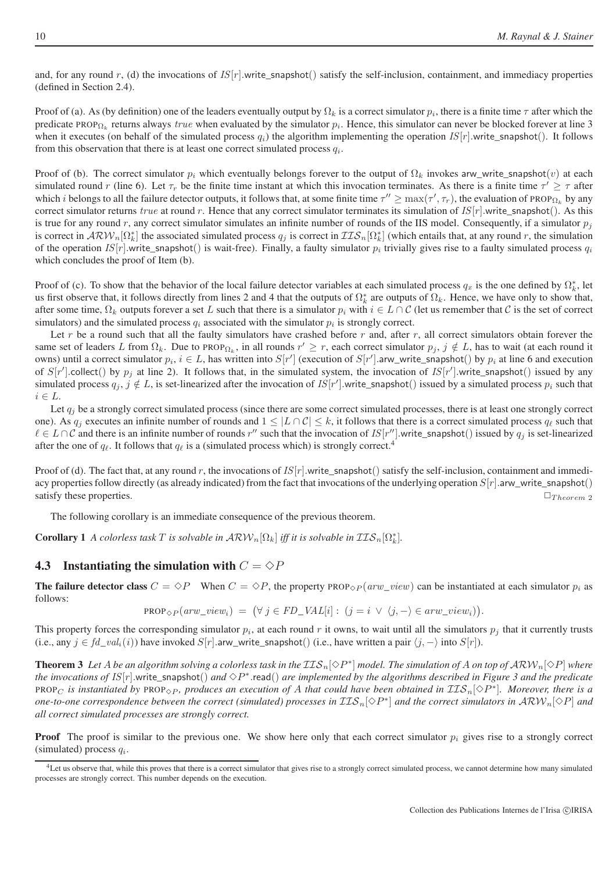and, for any round r, (d) the invocations of  $IS[r]$ .write snapshot() satisfy the self-inclusion, containment, and immediacy properties (defined in Section 2.4).

Proof of (a). As (by definition) one of the leaders eventually output by  $\Omega_k$  is a correct simulator  $p_i$ , there is a finite time  $\tau$  after which the predicate PROP<sub> $\Omega_k$ </sub> returns always true when evaluated by the simulator  $p_i$ . Hence, this simulator can never be blocked forever at line 3 when it executes (on behalf of the simulated process  $q_i$ ) the algorithm implementing the operation  $IS[r]$ .write\_snapshot(). It follows from this observation that there is at least one correct simulated process  $q_i$ .

Proof of (b). The correct simulator  $p_i$  which eventually belongs forever to the output of  $\Omega_k$  invokes arw\_write\_snapshot(v) at each simulated round r (line 6). Let  $\tau_r$  be the finite time instant at which this invocation terminates. As there is a finite time  $\tau' \geq \tau$  after which *i* belongs to all the failure detector outputs, it follows that, at some finite time  $\tau'' \ge \max(\tau', \tau_r)$ , the evaluation of PROP<sub> $\Omega_k$ </sub> by any correct simulator returns true at round r. Hence that any correct simulator terminates its simulation of  $IS[r]$ .write\_snapshot(). As this is true for any round r, any correct simulator simulates an infinite number of rounds of the IIS model. Consequently, if a simulator  $p_i$ is correct in  $\mathcal{ARM}_n[\Omega_k^*]$  the associated simulated process  $q_j$  is correct in  $\mathcal{IIS}_n[\Omega_k^*]$  (which entails that, at any round r, the simulation of the operation  $IS[r]$  write\_snapshot() is wait-free). Finally, a faulty simulator  $p_i$  trivially gives rise to a faulty simulated process  $q_i$ which concludes the proof of Item (b).

Proof of (c). To show that the behavior of the local failure detector variables at each simulated process  $q_x$  is the one defined by  $\Omega_k^*$ , let us first observe that, it follows directly from lines 2 and 4 that the outputs of  $\Omega_k$  are outputs of  $\Omega_k$ . Hence, we have only to show that, after some time,  $\Omega_k$  outputs forever a set L such that there is a simulator  $p_i$  with  $i \in L \cap C$  (let us remember that C is the set of correct simulators) and the simulated process  $q_i$  associated with the simulator  $p_i$  is strongly correct.

Let r be a round such that all the faulty simulators have crashed before r and, after r, all correct simulators obtain forever the same set of leaders L from  $\Omega_k$ . Due to PROP $\Omega_k$ , in all rounds  $r' \geq r$ , each correct simulator  $p_j$ ,  $j \notin L$ , has to wait (at each round it owns) until a correct simulator  $p_i, i \in L$ , has written into  $S[r']$  (execution of  $S[r']$ . arw\_write\_snapshot() by  $p_i$  at line 6 and execution of  $S[r']$  collect() by  $p_j$  at line 2). It follows that, in the simulated system, the invocation of  $IS[r']$  write\_snapshot() issued by any simulated process  $q_j$ ,  $j \notin L$ , is set-linearized after the invocation of  $IS[r']$ .write\_snapshot() issued by a simulated process  $p_i$  such that  $i \in L$ .

Let  $q_i$  be a strongly correct simulated process (since there are some correct simulated processes, there is at least one strongly correct one). As  $q_i$  executes an infinite number of rounds and  $1 \leq |L \cap C| \leq k$ , it follows that there is a correct simulated process  $q_\ell$  such that  $\ell \in L \cap C$  and there is an infinite number of rounds r'' such that the invocation of  $IS[r']$  write\_snapshot() issued by  $q_j$  is set-linearized after the one of  $q_\ell$ . It follows that  $q_\ell$  is a (simulated process which) is strongly correct.<sup>4</sup>

Proof of (d). The fact that, at any round r, the invocations of  $IS[r]$  write\_snapshot() satisfy the self-inclusion, containment and immediacy properties follow directly (as already indicated) from the fact that invocations of the underlying operation  $S[r]$ .arw\_write\_snapshot() satisfy these properties.  $\Box_{Theorem 2}$ 

The following corollary is an immediate consequence of the previous theorem.

**Corollary 1** *A colorless task T is solvable in*  $ARW_n[\Omega_k]$  *iff it is solvable in*  $ILS_n[\Omega_k^*]$ *.* 

#### 4.3 Instantiating the simulation with  $C = \Diamond P$

**The failure detector class**  $C = \Diamond P$  When  $C = \Diamond P$ , the property PROP<sub> $\Diamond P$ </sub> (*arw\_view*) can be instantiated at each simulator  $p_i$  as follows:

$$
\text{PROP}_{\diamond P}(arw\_view_i) = (\forall j \in FD\_VAL[i]: (j = i \lor \langle j, - \rangle \in arw\_view_i)).
$$

This property forces the corresponding simulator  $p_i$ , at each round r it owns, to wait until all the simulators  $p_j$  that it currently trusts (i.e., any  $j \in fd\_val_i(i)$ ) have invoked  $S[r]$ .arw\_write\_snapshot() (i.e., have written a pair  $\langle j, -\rangle$  into  $S[r]$ ).

**Theorem 3** Let A be an algorithm solving a colorless task in the TIS  $_n[\Diamond P^*]$  model. The simulation of A on top of ARW  $_n[\Diamond P]$  where the invocations of  $IS[r]$  write\_snapshot() and  $\Diamond P^*$  read() are implemented by the algorithms described in Figure 3 and the predicate PROP<sub>C</sub> is instantiated by PROP<sub> $\diamond P$ </sub>, produces an execution of A that could have been obtained in  $\mathcal{IIS}_n[\diamondsuit P^*]$ . Moreover, there is a one-to-one correspondence between the correct (simulated) processes in  $IIS_n[\Diamond P^*]$  and the correct simulators in  $\mathcal{ARW}_n[\Diamond P]$  and *all correct simulated processes are strongly correct.*

**Proof** The proof is similar to the previous one. We show here only that each correct simulator  $p_i$  gives rise to a strongly correct (simulated) process  $q_i$ .

<sup>&</sup>lt;sup>4</sup>Let us observe that, while this proves that there is a correct simulator that gives rise to a strongly correct simulated process, we cannot determine how many simulated processes are strongly correct. This number depends on the execution.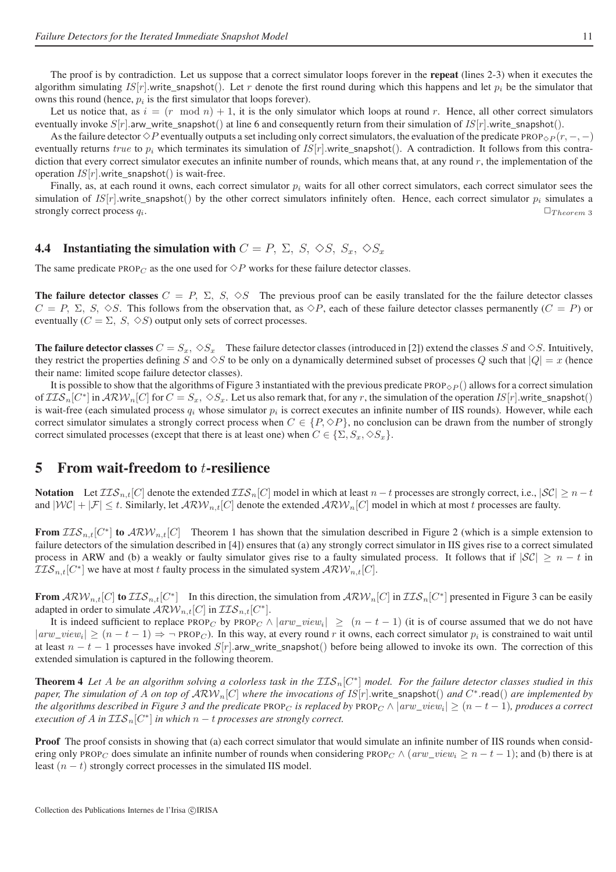The proof is by contradiction. Let us suppose that a correct simulator loops forever in the **repeat** (lines 2-3) when it executes the algorithm simulating IS[r].write snapshot(). Let r denote the first round during which this happens and let  $p_i$  be the simulator that owns this round (hence,  $p_i$  is the first simulator that loops forever).

Let us notice that, as  $i = (r \mod n) + 1$ , it is the only simulator which loops at round r. Hence, all other correct simulators eventually invoke  $S[r]$  arw\_write\_snapshot() at line 6 and consequently return from their simulation of  $IS[r]$ .write\_snapshot().

As the failure detector  $\Diamond P$  eventually outputs a set including only correct simulators, the evaluation of the predicate PROP $_{\Diamond P}(r, -, -)$ eventually returns true to  $p_i$  which terminates its simulation of  $IS[r]$ .write\_snapshot(). A contradiction. It follows from this contradiction that every correct simulator executes an infinite number of rounds, which means that, at any round  $r$ , the implementation of the operation  $IS[r]$ .write\_snapshot() is wait-free.

Finally, as, at each round it owns, each correct simulator  $p_i$  waits for all other correct simulators, each correct simulator sees the simulation of  $IS[r]$ .write\_snapshot() by the other correct simulators infinitely often. Hence, each correct simulator  $p_i$  simulates a strongly correct process  $q_i$ . .  $\Box_{Theorem\ 3}$ 

#### **4.4** Instantiating the simulation with  $C = P$ ,  $\Sigma$ ,  $S$ ,  $\Diamond S$ ,  $S_x$ ,  $\Diamond S_x$

The same predicate PROP<sub>C</sub> as the one used for  $\Diamond P$  works for these failure detector classes.

The failure detector classes  $C = P$ ,  $\Sigma$ ,  $S$ ,  $\Diamond S$  The previous proof can be easily translated for the the failure detector classes  $C = P$ ,  $\Sigma$ ,  $S$ ,  $\Diamond S$ . This follows from the observation that, as  $\Diamond P$ , each of these failure detector classes permanently  $(C = P)$  or eventually  $(C = \Sigma, S, \diamondsuit S)$  output only sets of correct processes.

The failure detector classes  $C = S_x$ ,  $\diamond S_x$  These failure detector classes (introduced in [2]) extend the classes S and  $\diamond S$ . Intuitively, they restrict the properties defining S and  $\Diamond S$  to be only on a dynamically determined subset of processes Q such that  $|Q| = x$  (hence their name: limited scope failure detector classes).

It is possible to show that the algorithms of Figure 3 instantiated with the previous predicate PROP<sub> $\Diamond P$ </sub> () allows for a correct simulation of  $\mathcal{IIS}_n[C^*]$  in  $\mathcal{ARW}_n[C]$  for  $C = S_x$ ,  $\diamond S_x$ . Let us also remark that, for any r, the simulation of the operation  $IS[r]$ .write\_snapshot() is wait-free (each simulated process  $q_i$  whose simulator  $p_i$  is correct executes an infinite number of IIS rounds). However, while each correct simulator simulates a strongly correct process when  $C \in \{P, \Diamond P\}$ , no conclusion can be drawn from the number of strongly correct simulated processes (except that there is at least one) when  $C \in \{\Sigma, S_x, \diamond S_x\}$ .

## 5 From wait-freedom to  $t$ -resilience

**Notation** Let  $ILS_{n,t}[C]$  denote the extended  $ILS_n[C]$  model in which at least  $n-t$  processes are strongly correct, i.e.,  $|SC| \ge n-t$ and  $|WC| + |\mathcal{F}| \le t$ . Similarly, let  $ARW_{n,t}[C]$  denote the extended  $ARW_n[C]$  model in which at most t processes are faulty.

From  $IIS_{n,t}[C^*]$  to  $ARW_{n,t}[C]$  Theorem 1 has shown that the simulation described in Figure 2 (which is a simple extension to failure detectors of the simulation described in [4]) ensures that (a) any strongly correct simulator in IIS gives rise to a correct simulated process in ARW and (b) a weakly or faulty simulator gives rise to a faulty simulated process. It follows that if  $|\mathcal{SC}| \geq n - t$  in  $\mathcal{IIS}_{n,t}[C^*]$  we have at most t faulty process in the simulated system  $\mathcal{ARM}_{n,t}[C]$ .

From  $\mathcal{ARM}_{n,t}[C]$  to  $\mathcal{IIS}_{n,t}[C^*]$  In this direction, the simulation from  $\mathcal{ARM}_n[C]$  in  $\mathcal{IIS}_n[C^*]$  presented in Figure 3 can be easily adapted in order to simulate  $\mathcal{ARM}_{n,t}[C]$  in  $\mathcal{IIS}_{n,t}[C^*].$ 

It is indeed sufficient to replace PROP<sub>C</sub> by PROP<sub>C</sub>  $\wedge$   $|arw\_view_i| \ge (n-t-1)$  (it is of course assumed that we do not have  $|arw\_view_i| \ge (n-t-1) \Rightarrow \neg \text{ PROP}_C$ ). In this way, at every round r it owns, each correct simulator  $p_i$  is constrained to wait until at least  $n - t - 1$  processes have invoked  $S[r]$  arw\_write\_snapshot() before being allowed to invoke its own. The correction of this extended simulation is captured in the following theorem.

**Theorem 4** Let A be an algorithm solving a colorless task in the  $IIS_n[C^*]$  model. For the failure detector classes studied in this paper, The simulation of A on top of  $\mathcal{ARW}_n[C]$  where the invocations of  $IS[r]$  write\_snapshot() and  $C^*$  read() are implemented by the algorithms described in Figure 3 and the predicate  $\mathrm{PROP}_C$  is replaced by  $\mathrm{PROP}_C \wedge |av\_view_i| \geq (n-t-1),$  produces a correct *execution of A in*  $\mathcal{IIS}_n[C^*]$  *in which*  $n-t$  *processes are strongly correct.* 

**Proof** The proof consists in showing that (a) each correct simulator that would simulate an infinite number of IIS rounds when considering only PROP<sub>C</sub> does simulate an infinite number of rounds when considering PROP<sub>C</sub>  $\wedge$  (arw\_view<sub>i</sub>  $\geq n-t-1$ ); and (b) there is at least  $(n - t)$  strongly correct processes in the simulated IIS model.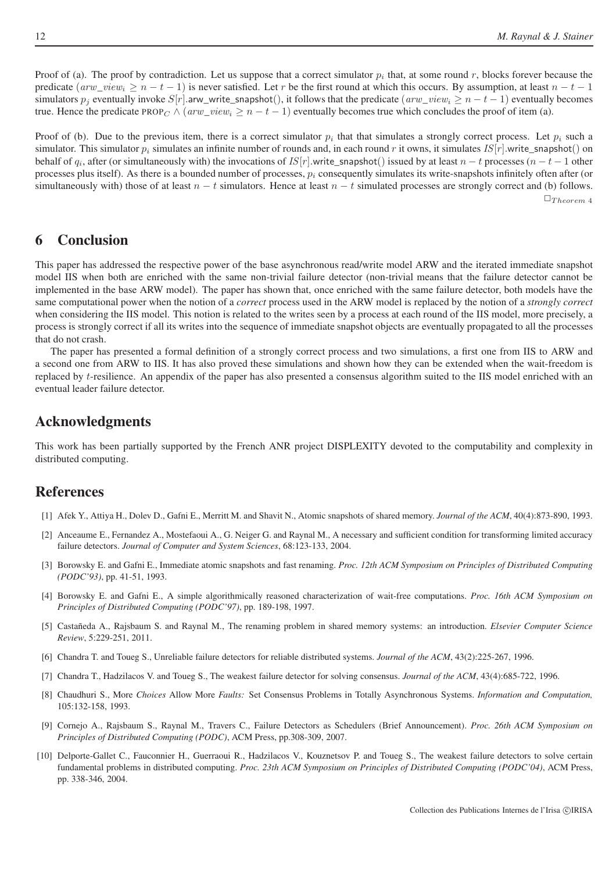Proof of (a). The proof by contradiction. Let us suppose that a correct simulator  $p_i$  that, at some round r, blocks forever because the predicate (arw view<sub>i</sub> > n − t − 1) is never satisfied. Let r be the first round at which this occurs. By assumption, at least  $n - t - 1$ simulators  $p_i$  eventually invoke  $S[r]$ . arw write snapshot(), it follows that the predicate (*arw* view<sub>i</sub>  $\geq n - t - 1$ ) eventually becomes true. Hence the predicate PROP<sub>C</sub>  $\wedge$  (arw\_view<sub>i</sub>  $\geq n-t-1$ ) eventually becomes true which concludes the proof of item (a).

Proof of (b). Due to the previous item, there is a correct simulator  $p_i$  that that simulates a strongly correct process. Let  $p_i$  such a simulator. This simulator  $p_i$  simulates an infinite number of rounds and, in each round r it owns, it simulates  $IS[r]$ .write\_snapshot() on behalf of  $q_i$ , after (or simultaneously with) the invocations of  $IS[r]$ .write\_snapshot() issued by at least  $n-t$  processes ( $n-t-1$  other processes plus itself). As there is a bounded number of processes,  $p_i$  consequently simulates its write-snapshots infinitely often after (or simultaneously with) those of at least  $n - t$  simulators. Hence at least  $n - t$  simulated processes are strongly correct and (b) follows.  $\Box_{Theorem~4}$ 

## 6 Conclusion

This paper has addressed the respective power of the base asynchronous read/write model ARW and the iterated immediate snapshot model IIS when both are enriched with the same non-trivial failure detector (non-trivial means that the failure detector cannot be implemented in the base ARW model). The paper has shown that, once enriched with the same failure detector, both models have the same computational power when the notion of a *correct* process used in the ARW model is replaced by the notion of a *strongly correct* when considering the IIS model. This notion is related to the writes seen by a process at each round of the IIS model, more precisely, a process is strongly correct if all its writes into the sequence of immediate snapshot objects are eventually propagated to all the processes that do not crash.

The paper has presented a formal definition of a strongly correct process and two simulations, a first one from IIS to ARW and a second one from ARW to IIS. It has also proved these simulations and shown how they can be extended when the wait-freedom is replaced by t-resilience. An appendix of the paper has also presented a consensus algorithm suited to the IIS model enriched with an eventual leader failure detector.

## Acknowledgments

This work has been partially supported by the French ANR project DISPLEXITY devoted to the computability and complexity in distributed computing.

## References

- [1] Afek Y., Attiya H., Dolev D., Gafni E., Merritt M. and Shavit N., Atomic snapshots of shared memory. *Journal of the ACM*, 40(4):873-890, 1993.
- [2] Anceaume E., Fernandez A., Mostefaoui A., G. Neiger G. and Raynal M., A necessary and sufficient condition for transforming limited accuracy failure detectors. *Journal of Computer and System Sciences*, 68:123-133, 2004.
- [3] Borowsky E. and Gafni E., Immediate atomic snapshots and fast renaming. *Proc. 12th ACM Symposium on Principles of Distributed Computing (PODC'93)*, pp. 41-51, 1993.
- [4] Borowsky E. and Gafni E., A simple algorithmically reasoned characterization of wait-free computations. *Proc. 16th ACM Symposium on Principles of Distributed Computing (PODC'97)*, pp. 189-198, 1997.
- [5] Castañeda A., Rajsbaum S. and Raynal M., The renaming problem in shared memory systems: an introduction. *Elsevier Computer Science Review*, 5:229-251, 2011.
- [6] Chandra T. and Toueg S., Unreliable failure detectors for reliable distributed systems. *Journal of the ACM*, 43(2):225-267, 1996.
- [7] Chandra T., Hadzilacos V. and Toueg S., The weakest failure detector for solving consensus. *Journal of the ACM*, 43(4):685-722, 1996.
- [8] Chaudhuri S., More *Choices* Allow More *Faults:* Set Consensus Problems in Totally Asynchronous Systems. *Information and Computation,* 105:132-158, 1993.
- [9] Cornejo A., Rajsbaum S., Raynal M., Travers C., Failure Detectors as Schedulers (Brief Announcement). *Proc. 26th ACM Symposium on Principles of Distributed Computing (PODC)*, ACM Press, pp.308-309, 2007.
- [10] Delporte-Gallet C., Fauconnier H., Guerraoui R., Hadzilacos V., Kouznetsov P. and Toueg S., The weakest failure detectors to solve certain fundamental problems in distributed computing. *Proc. 23th ACM Symposium on Principles of Distributed Computing (PODC'04)*, ACM Press, pp. 338-346, 2004.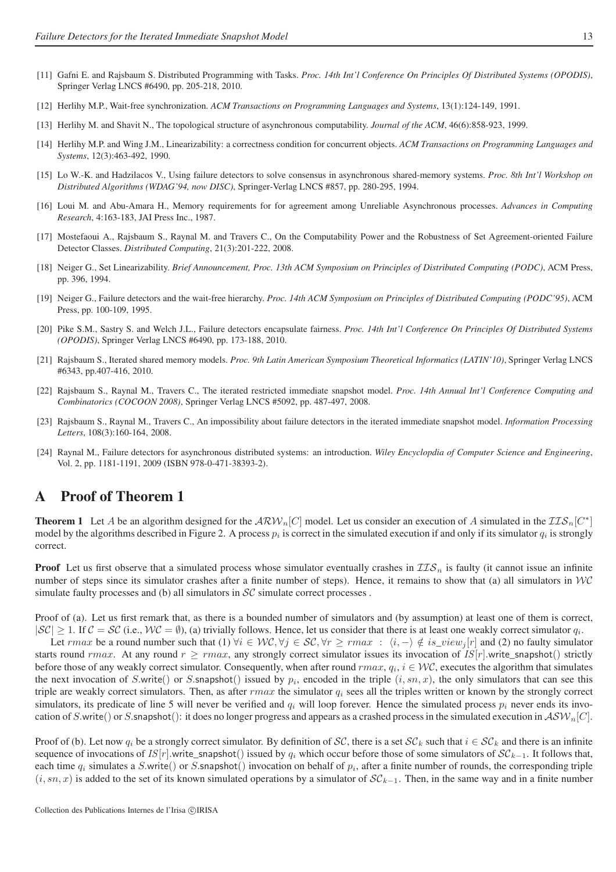- [11] Gafni E. and Rajsbaum S. Distributed Programming with Tasks. *Proc. 14th Int'l Conference On Principles Of Distributed Systems (OPODIS)*, Springer Verlag LNCS #6490, pp. 205-218, 2010.
- [12] Herlihy M.P., Wait-free synchronization. *ACM Transactions on Programming Languages and Systems*, 13(1):124-149, 1991.
- [13] Herlihy M. and Shavit N., The topological structure of asynchronous computability. *Journal of the ACM*, 46(6):858-923, 1999.
- [14] Herlihy M.P. and Wing J.M., Linearizability: a correctness condition for concurrent objects. *ACM Transactions on Programming Languages and Systems*, 12(3):463-492, 1990.
- [15] Lo W.-K. and Hadzilacos V., Using failure detectors to solve consensus in asynchronous shared-memory systems. *Proc. 8th Int'l Workshop on Distributed Algorithms (WDAG'94, now DISC)*, Springer-Verlag LNCS #857, pp. 280-295, 1994.
- [16] Loui M. and Abu-Amara H., Memory requirements for for agreement among Unreliable Asynchronous processes. *Advances in Computing Research*, 4:163-183, JAI Press Inc., 1987.
- [17] Mostefaoui A., Rajsbaum S., Raynal M. and Travers C., On the Computability Power and the Robustness of Set Agreement-oriented Failure Detector Classes. *Distributed Computing*, 21(3):201-222, 2008.
- [18] Neiger G., Set Linearizability. *Brief Announcement, Proc. 13th ACM Symposium on Principles of Distributed Computing (PODC)*, ACM Press, pp. 396, 1994.
- [19] Neiger G., Failure detectors and the wait-free hierarchy. *Proc. 14th ACM Symposium on Principles of Distributed Computing (PODC'95)*, ACM Press, pp. 100-109, 1995.
- [20] Pike S.M., Sastry S. and Welch J.L., Failure detectors encapsulate fairness. *Proc. 14th Int'l Conference On Principles Of Distributed Systems (OPODIS)*, Springer Verlag LNCS #6490, pp. 173-188, 2010.
- [21] Rajsbaum S., Iterated shared memory models. *Proc. 9th Latin American Symposium Theoretical Informatics (LATIN'10)*, Springer Verlag LNCS #6343, pp.407-416, 2010.
- [22] Rajsbaum S., Raynal M., Travers C., The iterated restricted immediate snapshot model. *Proc. 14th Annual Int'l Conference Computing and Combinatorics (COCOON 2008)*, Springer Verlag LNCS #5092, pp. 487-497, 2008.
- [23] Rajsbaum S., Raynal M., Travers C., An impossibility about failure detectors in the iterated immediate snapshot model. *Information Processing Letters*, 108(3):160-164, 2008.
- [24] Raynal M., Failure detectors for asynchronous distributed systems: an introduction. *Wiley Encyclopdia of Computer Science and Engineering*, Vol. 2, pp. 1181-1191, 2009 (ISBN 978-0-471-38393-2).

## A Proof of Theorem 1

**Theorem 1** Let A be an algorithm designed for the  $\mathcal{ARM}_n[C]$  model. Let us consider an execution of A simulated in the  $\mathcal{IIS}_n[C^*]$ model by the algorithms described in Figure 2. A process  $p_i$  is correct in the simulated execution if and only if its simulator  $q_i$  is strongly correct.

**Proof** Let us first observe that a simulated process whose simulator eventually crashes in  $II\mathcal{S}_n$  is faulty (it cannot issue an infinite number of steps since its simulator crashes after a finite number of steps). Hence, it remains to show that (a) all simulators in  $W\mathcal{C}$ simulate faulty processes and (b) all simulators in  $SC$  simulate correct processes.

Proof of (a). Let us first remark that, as there is a bounded number of simulators and (by assumption) at least one of them is correct,  $|SC| \ge 1$ . If  $C = SC$  (i.e.,  $WC = \emptyset$ ), (a) trivially follows. Hence, let us consider that there is at least one weakly correct simulator  $q_i$ .

Let rmax be a round number such that (1)  $\forall i \in \mathcal{WC}, \forall j \in \mathcal{SC}, \forall r \geq rmax : \langle i, -\rangle \notin is\_view_j[r]$  and (2) no faulty simulator starts round rmax. At any round  $r \geq rmax$ , any strongly correct simulator issues its invocation of  $IS[r]$ .write\_snapshot() strictly before those of any weakly correct simulator. Consequently, when after round  $rmax$ ,  $q_i$ ,  $i \in \mathcal{WC}$ , executes the algorithm that simulates the next invocation of S.write() or S.snapshot() issued by  $p_i$ , encoded in the triple  $(i, sn, x)$ , the only simulators that can see this triple are weakly correct simulators. Then, as after  $rmax$  the simulator  $q_i$  sees all the triples written or known by the strongly correct simulators, its predicate of line 5 will never be verified and  $q_i$  will loop forever. Hence the simulated process  $p_i$  never ends its invocation of S.write() or S.snapshot(): it does no longer progress and appears as a crashed process in the simulated execution in  $\mathcal{ASW}_n[C]$ .

Proof of (b). Let now  $q_i$  be a strongly correct simulator. By definition of SC, there is a set  $\mathcal{SC}_k$  such that  $i \in \mathcal{SC}_k$  and there is an infinite sequence of invocations of  $IS[r]$ .write\_snapshot() issued by  $q_i$  which occur before those of some simulators of  $SC_{k-1}$ . It follows that, each time  $q_i$  simulates a S.write() or S.snapshot() invocation on behalf of  $p_i$ , after a finite number of rounds, the corresponding triple  $(i, sn, x)$  is added to the set of its known simulated operations by a simulator of  $SC_{k-1}$ . Then, in the same way and in a finite number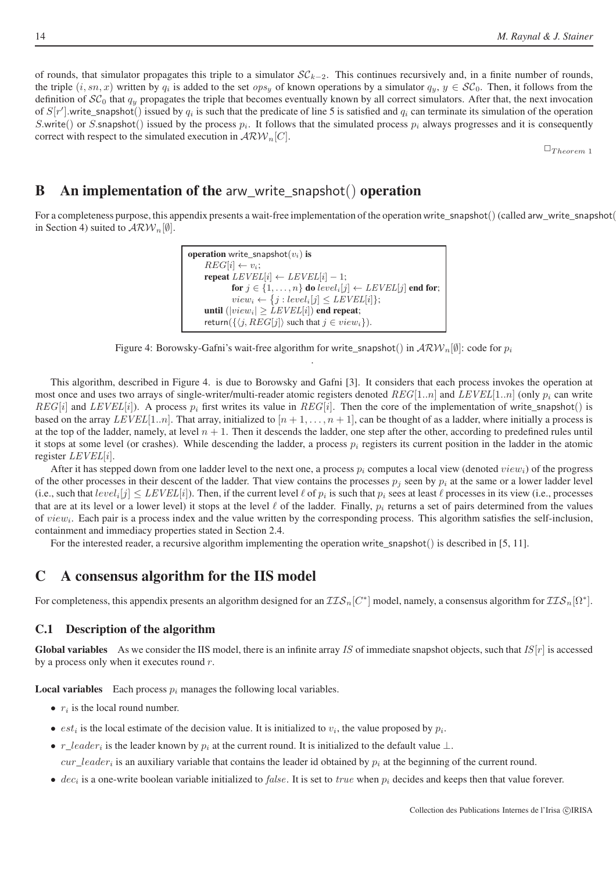of rounds, that simulator propagates this triple to a simulator  $\mathcal{SC}_{k-2}$ . This continues recursively and, in a finite number of rounds, the triple  $(i, sn, x)$  written by  $q_i$  is added to the set  $ops_y$  of known operations by a simulator  $q_y, y \in \mathcal{SC}_0$ . Then, it follows from the definition of  $SC_0$  that  $q_y$  propagates the triple that becomes eventually known by all correct simulators. After that, the next invocation of  $S[r']$  write\_snapshot() issued by  $q_i$  is such that the predicate of line 5 is satisfied and  $q_i$  can terminate its simulation of the operation S write() or S snapshot() issued by the process  $p_i$ . It follows that the simulated process  $p_i$  always progresses and it is consequently correct with respect to the simulated execution in  $\mathcal{ARM}_{n}[C]$ .

 $\Box_{Theorem~1}$ 

## **B** An implementation of the arw write snapshot() operation

For a completeness purpose, this appendix presents a wait-free implementation of the operation write\_snapshot() (called arw\_write\_snapshot() in Section 4) suited to  $\mathcal{ARM}_{n}[\emptyset]$ .

> operation write\_snapshot $(v_i)$  is  $REG[i] \leftarrow v_i;$ repeat  $LEVEL[i] \leftarrow LEVEL[i] - 1;$ for  $j \in \{1, \ldots, n\}$  do  $level_i[j] \leftarrow \text{LEVEL}[j]$  end for;  $view_i \leftarrow \{j : level_i[j] \leq \text{LEVEL}[i]\};$ until  $(|view_i| > \textit{LEVEL}[i])$  end repeat; return({ $\langle j, REG[j] \rangle$  such that  $j \in view_i$ }).

Figure 4: Borowsky-Gafni's wait-free algorithm for write snapshot() in  $\mathcal{ARM}_{n}[\emptyset]$ : code for  $p_i$ .

This algorithm, described in Figure 4. is due to Borowsky and Gafni [3]. It considers that each process invokes the operation at most once and uses two arrays of single-writer/multi-reader atomic registers denoted  $REG[1..n]$  and  $LEVEL[1..n]$  (only  $p_i$  can write  $REG[i]$  and  $LEVEL[i]$ . A process  $p_i$  first writes its value in  $REG[i]$ . Then the core of the implementation of write\_snapshot() is based on the array  $LEVEL[1..n]$ . That array, initialized to  $[n+1, ..., n+1]$ , can be thought of as a ladder, where initially a process is at the top of the ladder, namely, at level  $n + 1$ . Then it descends the ladder, one step after the other, according to predefined rules until it stops at some level (or crashes). While descending the ladder, a process  $p_i$  registers its current position in the ladder in the atomic register  $LEVEL[i]$ .

After it has stepped down from one ladder level to the next one, a process  $p_i$  computes a local view (denoted  $view_i$ ) of the progress of the other processes in their descent of the ladder. That view contains the processes  $p_i$  seen by  $p_i$  at the same or a lower ladder level (i.e., such that  $level_i[j] \leq LEVEL[i]$ ). Then, if the current level  $\ell$  of  $p_i$  is such that  $p_i$  sees at least  $\ell$  processes in its view (i.e., processes that are at its level or a lower level) it stops at the level  $\ell$  of the ladder. Finally,  $p_i$  returns a set of pairs determined from the values of  $view_i$ . Each pair is a process index and the value written by the corresponding process. This algorithm satisfies the self-inclusion, containment and immediacy properties stated in Section 2.4.

For the interested reader, a recursive algorithm implementing the operation write\_snapshot() is described in [5, 11].

## C A consensus algorithm for the IIS model

For completeness, this appendix presents an algorithm designed for an  $\mathcal{IIS}_n[C^*]$  model, namely, a consensus algorithm for  $\mathcal{IIS}_n[\Omega^*].$ 

#### C.1 Description of the algorithm

**Global variables** As we consider the IIS model, there is an infinite array IS of immediate snapshot objects, such that  $IS[r]$  is accessed by a process only when it executes round  $r$ .

**Local variables** Each process  $p_i$  manages the following local variables.

- $r_i$  is the local round number.
- $est_i$  is the local estimate of the decision value. It is initialized to  $v_i$ , the value proposed by  $p_i$ .
- $r\_leader_i$  is the leader known by  $p_i$  at the current round. It is initialized to the default value  $\perp$ .

 $cur\_leader_i$  is an auxiliary variable that contains the leader id obtained by  $p_i$  at the beginning of the current round.

 $\bullet$  dec<sub>i</sub> is a one-write boolean variable initialized to false. It is set to true when  $p_i$  decides and keeps then that value forever.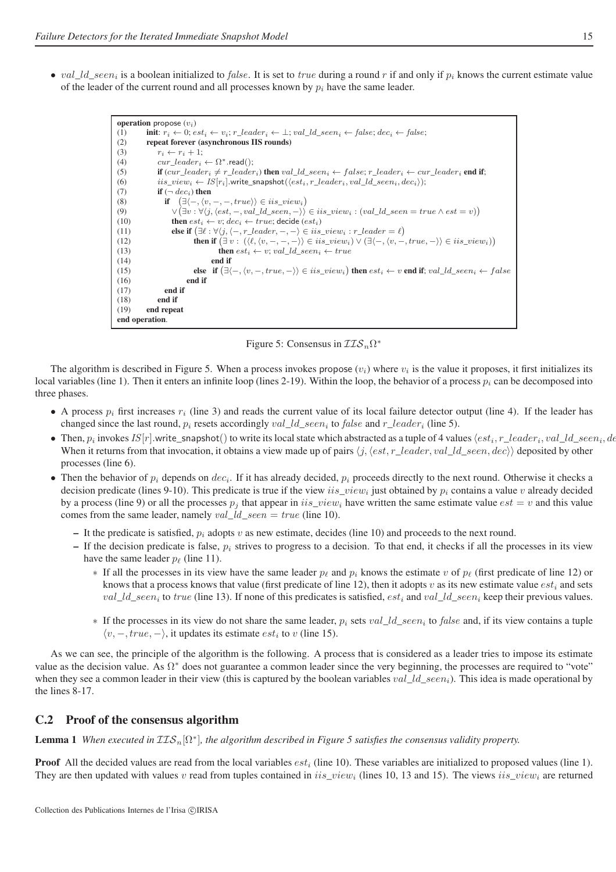• val\_ld\_seen<sub>i</sub> is a boolean initialized to false. It is set to true during a round r if and only if  $p_i$  knows the current estimate value of the leader of the current round and all processes known by  $p_i$  have the same leader.



Figure 5: Consensus in  $\mathcal{IIS}_n\Omega^*$ 

The algorithm is described in Figure 5. When a process invokes propose  $(v_i)$  where  $v_i$  is the value it proposes, it first initializes its local variables (line 1). Then it enters an infinite loop (lines 2-19). Within the loop, the behavior of a process  $p_i$  can be decomposed into three phases.

- A process  $p_i$  first increases  $r_i$  (line 3) and reads the current value of its local failure detector output (line 4). If the leader has changed since the last round,  $p_i$  resets accordingly  $val\_ld\_seen_i$  to *false* and  $r\_leader_i$  (line 5).
- Then,  $p_i$  invokes  $IS[r]$ .write\_snapshot() to write its local state which abstracted as a tuple of 4 values  $\langle est_i, r\_leader_i, val\_ld\_seen_i, de$ When it returns from that invocation, it obtains a view made up of pairs  $\langle j, \langle est, r\_leader, val\_ld\_seen, dec \rangle \rangle$  deposited by other processes (line 6).
- Then the behavior of  $p_i$  depends on  $dec_i$ . If it has already decided,  $p_i$  proceeds directly to the next round. Otherwise it checks a decision predicate (lines 9-10). This predicate is true if the view  $iis\_view_i$  just obtained by  $p_i$  contains a value v already decided by a process (line 9) or all the processes  $p_i$  that appear in  $iis\_view_i$  have written the same estimate value  $est = v$  and this value comes from the same leader, namely  $val\_ld\_seen = true$  (line 10).
	- It the predicate is satisfied,  $p_i$  adopts v as new estimate, decides (line 10) and proceeds to the next round.
	- If the decision predicate is false,  $p_i$  strives to progress to a decision. To that end, it checks if all the processes in its view have the same leader  $p_\ell$  (line 11).
		- $*$  If all the processes in its view have the same leader  $p_\ell$  and  $p_i$  knows the estimate v of  $p_\ell$  (first predicate of line 12) or knows that a process knows that value (first predicate of line 12), then it adopts v as its new estimate value  $est_i$  and sets  $val\_ld\_seen_i$  to true (line 13). If none of this predicates is satisfied,  $est_i$  and  $val\_ld\_seen_i$  keep their previous values.
		- $*$  If the processes in its view do not share the same leader,  $p_i$  sets  $val\_ld\_seen_i$  to false and, if its view contains a tuple  $\langle v, -, true, -\rangle$ , it updates its estimate  $est_i$  to v (line 15).

As we can see, the principle of the algorithm is the following. A process that is considered as a leader tries to impose its estimate value as the decision value. As  $\Omega^*$  does not guarantee a common leader since the very beginning, the processes are required to "vote" when they see a common leader in their view (this is captured by the boolean variables  $val\_ld\_seen_i$ ). This idea is made operational by the lines 8-17.

#### C.2 Proof of the consensus algorithm

**Lemma 1** When executed in  $IIS_n[\Omega^*]$ , the algorithm described in Figure 5 satisfies the consensus validity property.

**Proof** All the decided values are read from the local variables  $est_i$  (line 10). These variables are initialized to proposed values (line 1). They are then updated with values v read from tuples contained in  $iis\_view_i$  (lines 10, 13 and 15). The views  $iis\_view_i$  are returned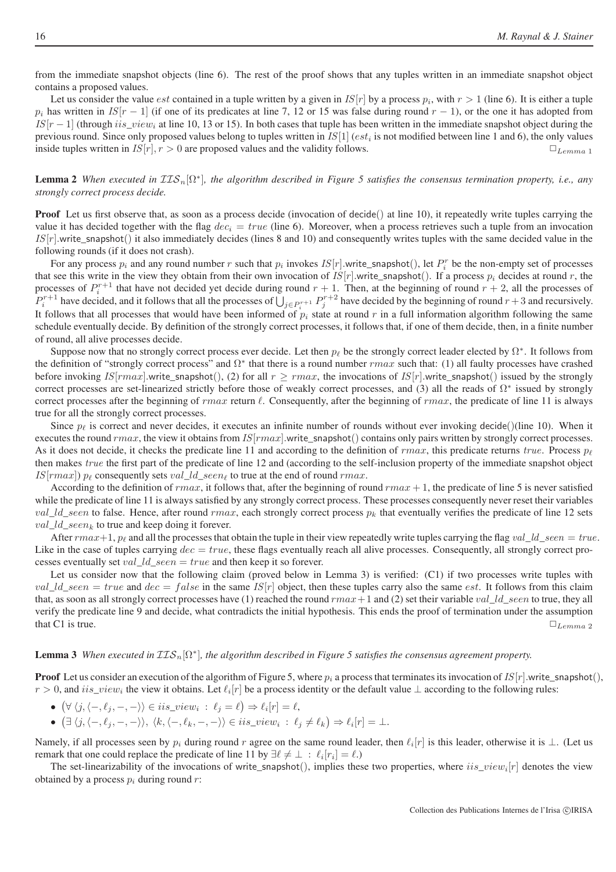from the immediate snapshot objects (line 6). The rest of the proof shows that any tuples written in an immediate snapshot object contains a proposed values.

Let us consider the value *est* contained in a tuple written by a given in  $IS[r]$  by a process  $p_i$ , with  $r > 1$  (line 6). It is either a tuple  $p_i$  has written in  $IS[r-1]$  (if one of its predicates at line 7, 12 or 15 was false during round  $r-1$ ), or the one it has adopted from  $IS[r-1]$  (through iis\_view<sub>i</sub> at line 10, 13 or 15). In both cases that tuple has been written in the immediate snapshot object during the previous round. Since only proposed values belong to tuples written in  $IS[1]$  ( $est_i$  is not modified between line 1 and 6), the only values inside tuples written in  $IS[r], r > 0$  are proposed values and the validity follows.

**Lemma 2** When executed in  $ILS_n[Ω^*]$ , the algorithm described in Figure 5 satisfies the consensus termination property, i.e., any *strongly correct process decide.*

**Proof** Let us first observe that, as soon as a process decide (invocation of decide() at line 10), it repeatedly write tuples carrying the value it has decided together with the flag  $dec_i = true$  (line 6). Moreover, when a process retrieves such a tuple from an invocation  $IS[r]$ .write\_snapshot() it also immediately decides (lines 8 and 10) and consequently writes tuples with the same decided value in the following rounds (if it does not crash).

For any process  $p_i$  and any round number r such that  $p_i$  invokes  $IS[r]$ .write\_snapshot(), let  $P_i^r$  be the non-empty set of processes that see this write in the view they obtain from their own invocation of  $IS[r]$ .write\_snapshot(). If a process  $p_i$  decides at round r, the processes of  $P_i^{r+1}$  that have not decided yet decide during round  $r + 1$ . Then, at the beginning of round  $r + 2$ , all the processes of  $P_i^{r+1}$  have decided, and it follows that all the processes of  $\bigcup_{j \in P_i^{r+1}} P_j^{r+2}$  have decided by the beginning of round  $r+3$  and recursively. It follows that all processes that would have been informed of  $p_i$  state at round r in a full information algorithm following the same schedule eventually decide. By definition of the strongly correct processes, it follows that, if one of them decide, then, in a finite number of round, all alive processes decide.

Suppose now that no strongly correct process ever decide. Let then  $p_\ell$  be the strongly correct leader elected by  $\Omega^*$ . It follows from the definition of "strongly correct process" and  $\Omega^*$  that there is a round number  $rmax$  such that: (1) all faulty processes have crashed before invoking  $IS[*rmax*]$ .write\_snapshot(), (2) for all  $r \geq rmax$ , the invocations of  $IS[r]$ .write\_snapshot() issued by the strongly correct processes are set-linearized strictly before those of weakly correct processes, and (3) all the reads of  $\Omega^*$  issued by strongly correct processes after the beginning of rmax return  $\ell$ . Consequently, after the beginning of rmax, the predicate of line 11 is always true for all the strongly correct processes.

Since  $p_\ell$  is correct and never decides, it executes an infinite number of rounds without ever invoking decide()(line 10). When it executes the round rmax, the view it obtains from  $IS[{\text{rmax}}]$ .write snapshot() contains only pairs written by strongly correct processes. As it does not decide, it checks the predicate line 11 and according to the definition of  $rmax$ , this predicate returns  $true$ . Process  $p_{\ell}$ then makes true the first part of the predicate of line 12 and (according to the self-inclusion property of the immediate snapshot object IS[rmax])  $p_\ell$  consequently sets val\_ld\_seen<sub>ℓ</sub> to true at the end of round rmax.

According to the definition of rmax, it follows that, after the beginning of round  $rmax + 1$ , the predicate of line 5 is never satisfied while the predicate of line 11 is always satisfied by any strongly correct process. These processes consequently never reset their variables  $val\_ld\_seen$  to false. Hence, after round rmax, each strongly correct process  $p_k$  that eventually verifies the predicate of line 12 sets val  $ld$  seen<sub>k</sub> to true and keep doing it forever.

After  $rmax+1$ ,  $p_\ell$  and all the processes that obtain the tuple in their view repeatedly write tuples carrying the flag val ld seen = true. Like in the case of tuples carrying  $dec = true$ , these flags eventually reach all alive processes. Consequently, all strongly correct processes eventually set  $val\_ld\_seen = true$  and then keep it so forever.

Let us consider now that the following claim (proved below in Lemma 3) is verified: (C1) if two processes write tuples with  $val\_ld\_seen = true$  and  $dec = false$  in the same  $IS[r]$  object, then these tuples carry also the same *est*. It follows from this claim that, as soon as all strongly correct processes have (1) reached the round  $rmax+1$  and (2) set their variable val\_ld\_seen to true, they all verify the predicate line 9 and decide, what contradicts the initial hypothesis. This ends the proof of termination under the assumption that C1 is true.  $\Box$ 

#### **Lemma 3** When executed in  $ILS_n[\Omega^*]$ , the algorithm described in Figure 5 satisfies the consensus agreement property.

**Proof** Let us consider an execution of the algorithm of Figure 5, where  $p_i$  a process that terminates its invocation of  $IS[r]$ .write\_snapshot(),  $r > 0$ , and  $iis\_view_i$  the view it obtains. Let  $\ell_i[r]$  be a process identity or the default value  $\perp$  according to the following rules:

- $(\forall \langle j, \langle -, \ell_j, -, \rangle) \in iis\_view_i : \ell_j = \ell) \Rightarrow \ell_i[r] = \ell,$
- $(\exists \langle j, \langle -, \ell_j, -, \rangle \rangle, \langle k, \langle -, \ell_k, -, \rangle \rangle \in iis\_view_i : \ell_j \neq \ell_k) \Rightarrow \ell_i[r] = \bot.$

Namely, if all processes seen by  $p_i$  during round r agree on the same round leader, then  $\ell_i[r]$  is this leader, otherwise it is  $\perp$ . (Let us remark that one could replace the predicate of line 11 by  $\exists \ell \neq \bot : \ell_i[r_i] = \ell.$ )

The set-linearizability of the invocations of write\_snapshot(), implies these two properties, where  $iis\_view_i[r]$  denotes the view obtained by a process  $p_i$  during round r: